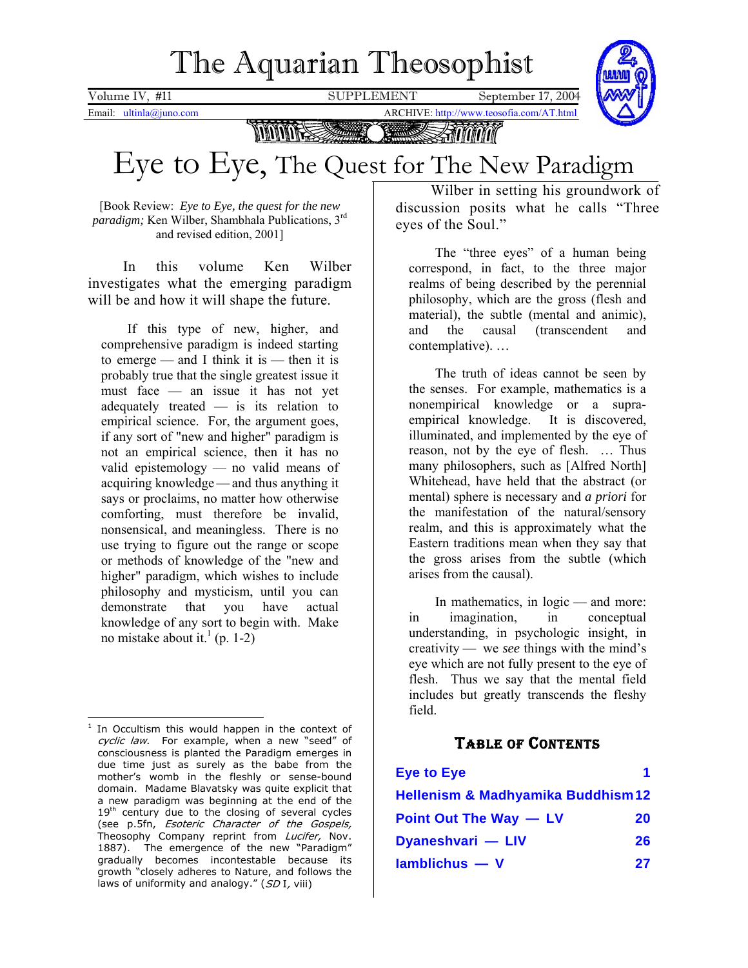# The Aquarian Theosophist

<span id="page-0-1"></span>Volume IV, #11 SUPPLEMENT September 17, 2004



Email: ultinla@juno.com ARCHIVE: http://www.teosofia.com/AT.html **DELLE SERVICE MANASSES** 

Eye to Eye, The Quest for The New Paradigm

[Book Review: *Eye to Eye, the quest for the new paradigm;* Ken Wilber, Shambhala Publications, 3rd and revised edition, 2001]

In this volume Ken Wilber investigates what the emerging paradigm will be and how it will shape the future.

If this type of new, higher, and comprehensive paradigm is indeed starting to emerge — and I think it is — then it is probably true that the single greatest issue it must face — an issue it has not yet adequately treated — is its relation to empirical science. For, the argument goes, if any sort of "new and higher" paradigm is not an empirical science, then it has no valid epistemology — no valid means of acquiring knowledge—and thus anything it says or proclaims, no matter how otherwise comforting, must therefore be invalid, nonsensical, and meaningless. There is no use trying to figure out the range or scope or methods of knowledge of the "new and higher" paradigm, which wishes to include philosophy and mysticism, until you can demonstrate that you have actual knowledge of any sort to begin with. Make no mistake about it.<sup>[1](#page-0-0)</sup> (p. 1-2)

Wilber in setting his groundwork of discussion posits what he calls "Three eyes of the Soul."

The "three eyes" of a human being correspond, in fact, to the three major realms of being described by the perennial philosophy, which are the gross (flesh and material), the subtle (mental and animic), and the causal (transcendent and contemplative). …

The truth of ideas cannot be seen by the senses. For example, mathematics is a nonempirical knowledge or a supraempirical knowledge. It is discovered, illuminated, and implemented by the eye of reason, not by the eye of flesh. … Thus many philosophers, such as [Alfred North] Whitehead, have held that the abstract (or mental) sphere is necessary and *a priori* for the manifestation of the natural/sensory realm, and this is approximately what the Eastern traditions mean when they say that the gross arises from the subtle (which arises from the causal).

In mathematics, in logic — and more: in imagination, in conceptual understanding, in psychologic insight, in creativity — we *see* things with the mind's eye which are not fully present to the eye of flesh. Thus we say that the mental field includes but greatly transcends the fleshy field.

#### TABLE OF CONTENTS

| <b>Eye to Eye</b>                            |    |
|----------------------------------------------|----|
| <b>Hellenism &amp; Madhyamika Buddhism12</b> |    |
| Point Out The Way - LV                       | 20 |
| Dyaneshvari - LIV                            | 26 |
| lamblichus - V                               | 27 |

<span id="page-0-0"></span> $\overline{a}$ (see p.5fn, Esoteric Character of the Gospels, <sup>1</sup> In Occultism this would happen in the context of cyclic law. For example, when a new "seed" of consciousness is planted the Paradigm emerges in due time just as surely as the babe from the mother's womb in the fleshly or sense-bound domain. Madame Blavatsky was quite explicit that a new paradigm was beginning at the end of the 19<sup>th</sup> century due to the closing of several cycles Theosophy Company reprint from Lucifer, Nov. 1887). The emergence of the new "Paradigm" gradually becomes incontestable because its growth "closely adheres to Nature, and follows the laws of uniformity and analogy." (SD I, viii)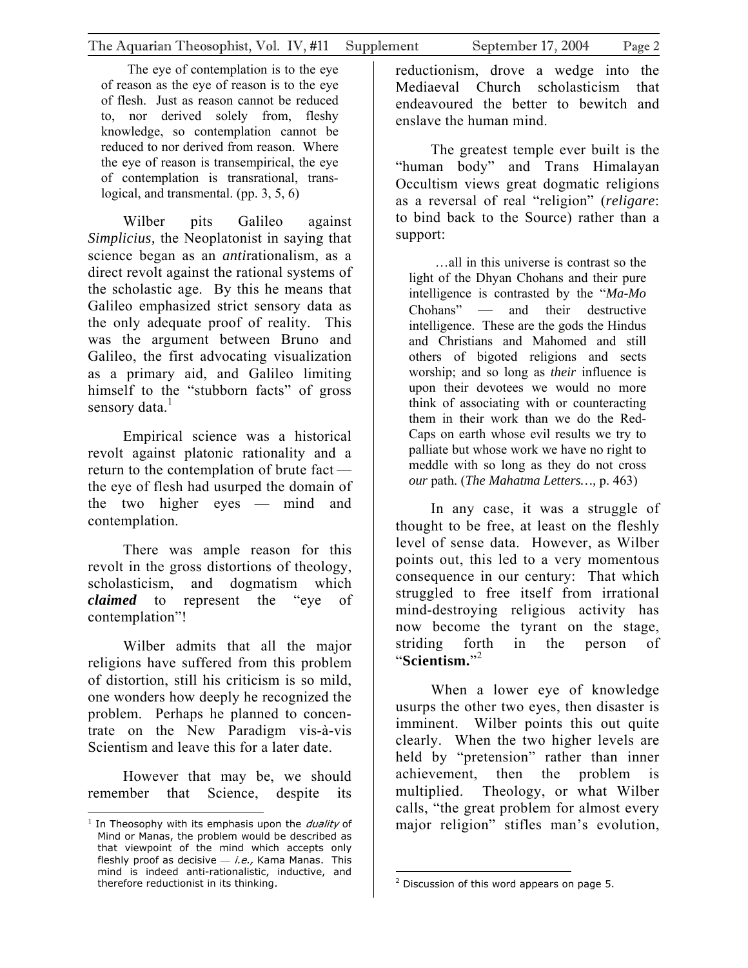The eye of contemplation is to the eye of reason as the eye of reason is to the eye of flesh. Just as reason cannot be reduced to, nor derived solely from, fleshy knowledge, so contemplation cannot be reduced to nor derived from reason. Where the eye of reason is transempirical, the eye of contemplation is transrational, translogical, and transmental. (pp. 3, 5, 6)

Wilber pits Galileo against *Simplicius,* the Neoplatonist in saying that science began as an *anti*rationalism, as a direct revolt against the rational systems of the scholastic age. By this he means that Galileo emphasized strict sensory data as the only adequate proof of reality. This was the argument between Bruno and Galileo, the first advocating visualization as a primary aid, and Galileo limiting himself to the "stubborn facts" of gross sensory data.<sup>[1](#page-1-0)</sup>

Empirical science was a historical revolt against platonic rationality and a return to the contemplation of brute fact the eye of flesh had usurped the domain of the two higher eyes — mind and contemplation.

There was ample reason for this revolt in the gross distortions of theology, scholasticism, and dogmatism which *claimed* to represent the "eye of contemplation"!

Wilber admits that all the major religions have suffered from this problem of distortion, still his criticism is so mild, one wonders how deeply he recognized the problem. Perhaps he planned to concentrate on the New Paradigm vis-à-vis Scientism and leave this for a later date.

However that may be, we should remember that Science, despite its reductionism, drove a wedge into the Mediaeval Church scholasticism that endeavoured the better to bewitch and enslave the human mind.

The greatest temple ever built is the "human body" and Trans Himalayan Occultism views great dogmatic religions as a reversal of real "religion" (*religare*: to bind back to the Source) rather than a support:

…all in this universe is contrast so the light of the Dhyan Chohans and their pure intelligence is contrasted by the "*Ma-Mo* Chohans" — and their destructive intelligence. These are the gods the Hindus and Christians and Mahomed and still others of bigoted religions and sects worship; and so long as *their* influence is upon their devotees we would no more think of associating with or counteracting them in their work than we do the Red-Caps on earth whose evil results we try to palliate but whose work we have no right to meddle with so long as they do not cross *our* path. (*The Mahatma Letters…,* p. 463)

In any case, it was a struggle of thought to be free, at least on the fleshly level of sense data. However, as Wilber points out, this led to a very momentous consequence in our century: That which struggled to free itself from irrational mind-destroying religious activity has now become the tyrant on the stage, striding forth in the person of "**Scientism.**"[2](#page-1-1)

When a lower eye of knowledge usurps the other two eyes, then disaster is imminent. Wilber points this out quite clearly. When the two higher levels are held by "pretension" rather than inner achievement, then the problem is multiplied. Theology, or what Wilber calls, "the great problem for almost every major religion" stifles man's evolution,

<span id="page-1-0"></span><sup>1</sup> fleshly proof as decisive — i.e., Kama Manas. This <sup>1</sup> In Theosophy with its emphasis upon the *duality* of Mind or Manas, the problem would be described as that viewpoint of the mind which accepts only mind is indeed anti-rationalistic, inductive, and therefore reductionist in its thinking.

<span id="page-1-1"></span> 2 Discussion of this word appears on page 5.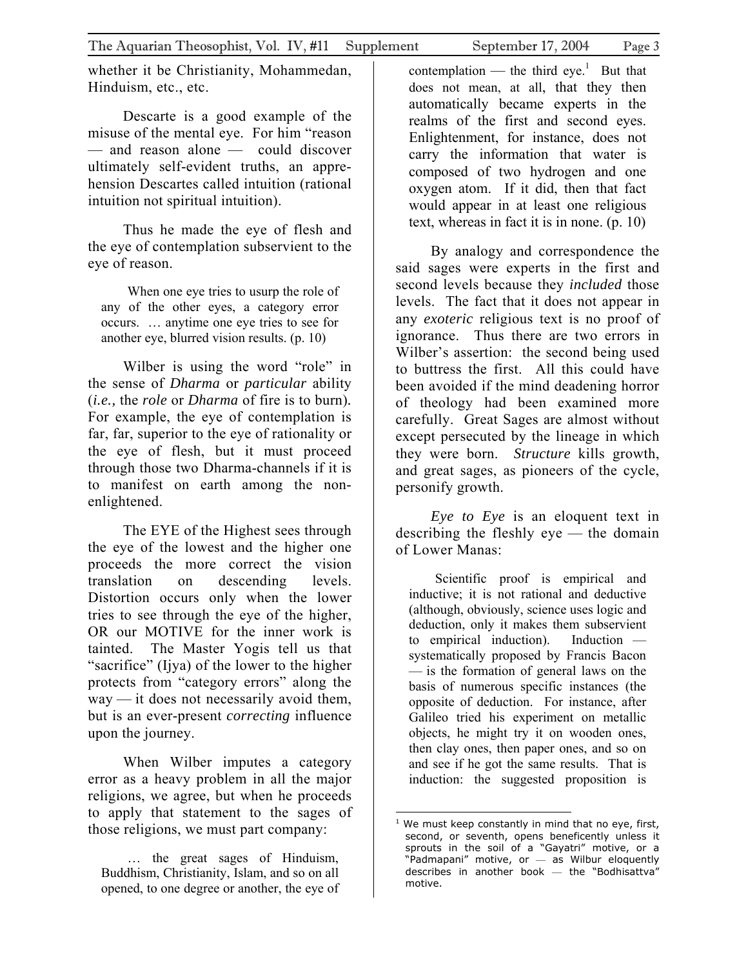whether it be Christianity, Mohammedan, Hinduism, etc., etc.

Descarte is a good example of the misuse of the mental eye. For him "reason — and reason alone — could discover ultimately self-evident truths, an apprehension Descartes called intuition (rational intuition not spiritual intuition).

Thus he made the eye of flesh and the eye of contemplation subservient to the eye of reason.

When one eye tries to usurp the role of any of the other eyes, a category error occurs. … anytime one eye tries to see for another eye, blurred vision results. (p. 10)

Wilber is using the word "role" in the sense of *Dharma* or *particular* ability (*i.e.,* the *role* or *Dharma* of fire is to burn)*.* For example, the eye of contemplation is far, far, superior to the eye of rationality or the eye of flesh, but it must proceed through those two Dharma-channels if it is to manifest on earth among the nonenlightened.

The EYE of the Highest sees through the eye of the lowest and the higher one proceeds the more correct the vision translation on descending levels. Distortion occurs only when the lower tries to see through the eye of the higher, OR our MOTIVE for the inner work is tainted. The Master Yogis tell us that "sacrifice" (Ijya) of the lower to the higher protects from "category errors" along the way — it does not necessarily avoid them, but is an ever-present *correcting* influence upon the journey.

When Wilber imputes a category error as a heavy problem in all the major religions, we agree, but when he proceeds to apply that statement to the sages of those religions, we must part company:

… the great sages of Hinduism, Buddhism, Christianity, Islam, and so on all opened, to one degree or another, the eye of

contemplation — the third eye.<sup>1</sup> But that does not mean, at all, that they then automatically became experts in the realms of the first and second eyes. Enlightenment, for instance, does not carry the information that water is composed of two hydrogen and one oxygen atom. If it did, then that fact would appear in at least one religious text, whereas in fact it is in none. (p. 10)

By analogy and correspondence the said sages were experts in the first and second levels because they *included* those levels. The fact that it does not appear in any *exoteric* religious text is no proof of ignorance. Thus there are two errors in Wilber's assertion: the second being used to buttress the first. All this could have been avoided if the mind deadening horror of theology had been examined more carefully. Great Sages are almost without except persecuted by the lineage in which they were born. *Structure* kills growth, and great sages, as pioneers of the cycle, personify growth.

*Eye to Eye* is an eloquent text in describing the fleshly eye — the domain of Lower Manas:

Scientific proof is empirical and inductive; it is not rational and deductive (although, obviously, science uses logic and deduction, only it makes them subservient to empirical induction). Induction systematically proposed by Francis Bacon — is the formation of general laws on the basis of numerous specific instances (the opposite of deduction. For instance, after Galileo tried his experiment on metallic objects, he might try it on wooden ones, then clay ones, then paper ones, and so on and see if he got the same results. That is induction: the suggested proposition is

<span id="page-2-0"></span> $\overline{a}$  $1$  We must keep constantly in mind that no eye, first, second, or seventh, opens beneficently unless it sprouts in the soil of a "Gayatri" motive, or a "Padmapani" motive, or — as Wilbur eloquently describes in another book — the "Bodhisattva" motive.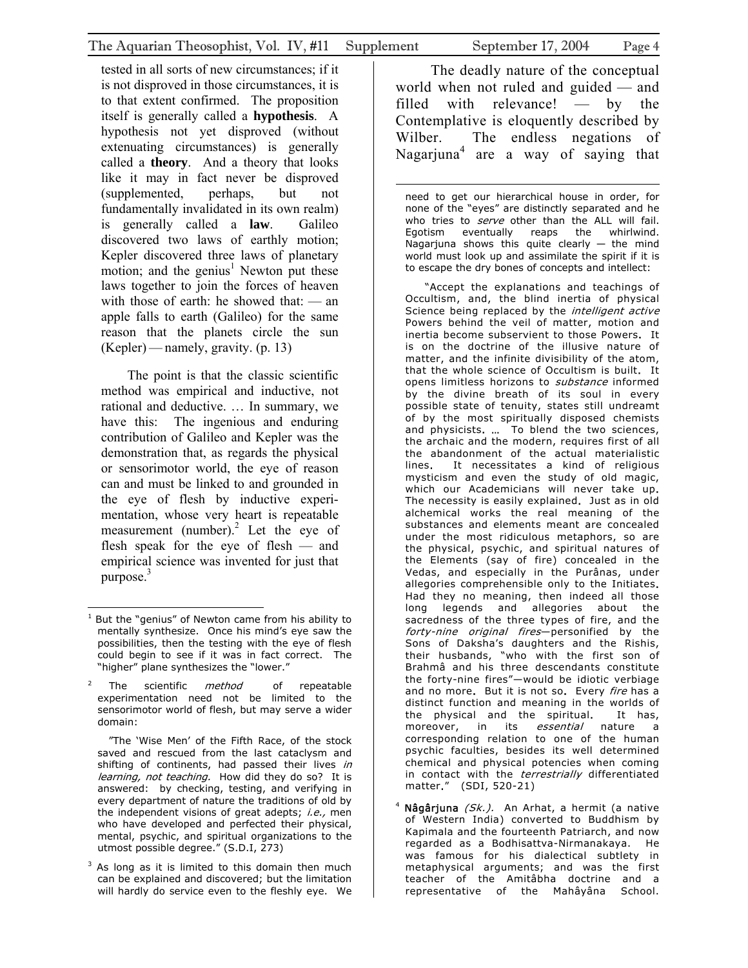tested in all sorts of new circumstances; if it is not disproved in those circumstances, it is to that extent confirmed. The proposition itself is generally called a **hypothesis**. A hypothesis not yet disproved (without extenuating circumstances) is generally called a **theory**. And a theory that looks like it may in fact never be disproved (supplemented, perhaps, but not fundamentally invalidated in its own realm) is generally called a **law**. Galileo discovered two laws of earthly motion; Kepler discovered three laws of planetary motion; and the genius<sup>1</sup> Newton put these laws together to join the forces of heaven with those of earth: he showed that: — an apple falls to earth (Galileo) for the same reason that the planets circle the sun (Kepler) — namely, gravity. (p. 13)

The point is that the classic scientific method was empirical and inductive, not rational and deductive. … In summary, we have this: The ingenious and enduring contribution of Galileo and Kepler was the demonstration that, as regards the physical or sensorimotor world, the eye of reason can and must be linked to and grounded in the eye of flesh by inductive experimentation, whose very heart is repeatable measurement (number).<sup>[2](#page-3-1)</sup> Let the eye of flesh speak for the eye of flesh — and empirical science was invented for just that purpose[.3](#page-3-2)

 $\overline{a}$ 

<span id="page-3-1"></span>2 The scientific method of repeatable experimentation need not be limited to the sensorimotor world of flesh, but may serve a wider domain:

learning, not teaching. How did they do so? It is "The 'Wise Men' of the Fifth Race, of the stock saved and rescued from the last cataclysm and shifting of continents, had passed their lives in answered: by checking, testing, and verifying in every department of nature the traditions of old by the independent visions of great adepts; i.e., men who have developed and perfected their physical, mental, psychic, and spiritual organizations to the utmost possible degree." (S.D.I, 273)

<span id="page-3-2"></span> $3$  As long as it is limited to this domain then much can be explained and discovered; but the limitation will hardly do service even to the fleshly eye. We

The deadly nature of the conceptual world when not ruled and guided — and filled with relevance! — by the Contemplative is eloquently described by Wilber. The endless negations of Nagarjuna<sup>[4](#page-3-3)</sup> are a way of saying that

<u>.</u>

need to get our hierarchical house in order, for none of the "eyes" are distinctly separated and he who tries to *serve* other than the ALL will fail. Egotism eventually reaps the whirlwind. Nagarjuna shows this quite clearly  $-$  the mind world must look up and assimilate the spirit if it is to escape the dry bones of concepts and intellect:

forty-nine original fires—personified by the in contact with the *terrestrially* differentiated "Accept the explanations and teachings of Occultism, and, the blind inertia of physical Science being replaced by the intelligent active Powers behind the veil of matter, motion and inertia become subservient to those Powers. It is on the doctrine of the illusive nature of matter, and the infinite divisibility of the atom, that the whole science of Occultism is built. It opens limitless horizons to substance informed by the divine breath of its soul in every possible state of tenuity, states still undreamt of by the most spiritually disposed chemists and physicists. … To blend the two sciences, the archaic and the modern, requires first of all the abandonment of the actual materialistic lines. It necessitates a kind of religious mysticism and even the study of old magic, which our Academicians will never take up. The necessity is easily explained. Just as in old alchemical works the real meaning of the substances and elements meant are concealed under the most ridiculous metaphors, so are the physical, psychic, and spiritual natures of the Elements (say of fire) concealed in the Vedas, and especially in the Purânas, under allegories comprehensible only to the Initiates. Had they no meaning, then indeed all those long legends and allegories about the sacredness of the three types of fire, and the Sons of Daksha's daughters and the Rishis, their husbands, "who with the first son of Brahmâ and his three descendants constitute the forty-nine fires"—would be idiotic verbiage and no more. But it is not so. Every fire has a distinct function and meaning in the worlds of the physical and the spiritual. It has, moreover, in its essential nature a corresponding relation to one of the human psychic faculties, besides its well determined chemical and physical potencies when coming matter." (SDI, 520-21)

<span id="page-3-3"></span><sup>4</sup> **Nâgârjuna** *(Sk.).* An Arhat, a hermit (a native of Western India) converted to Buddhism by Kapimala and the fourteenth Patriarch, and now regarded as a Bodhisattva-Nirmanakaya. He was famous for his dialectical subtlety in metaphysical arguments; and was the first teacher of the Amitâbha doctrine and a representative of the Mahâyâna School.

<span id="page-3-0"></span><sup>1</sup> But the "genius" of Newton came from his ability to mentally synthesize. Once his mind's eye saw the possibilities, then the testing with the eye of flesh could begin to see if it was in fact correct. The "higher" plane synthesizes the "lower."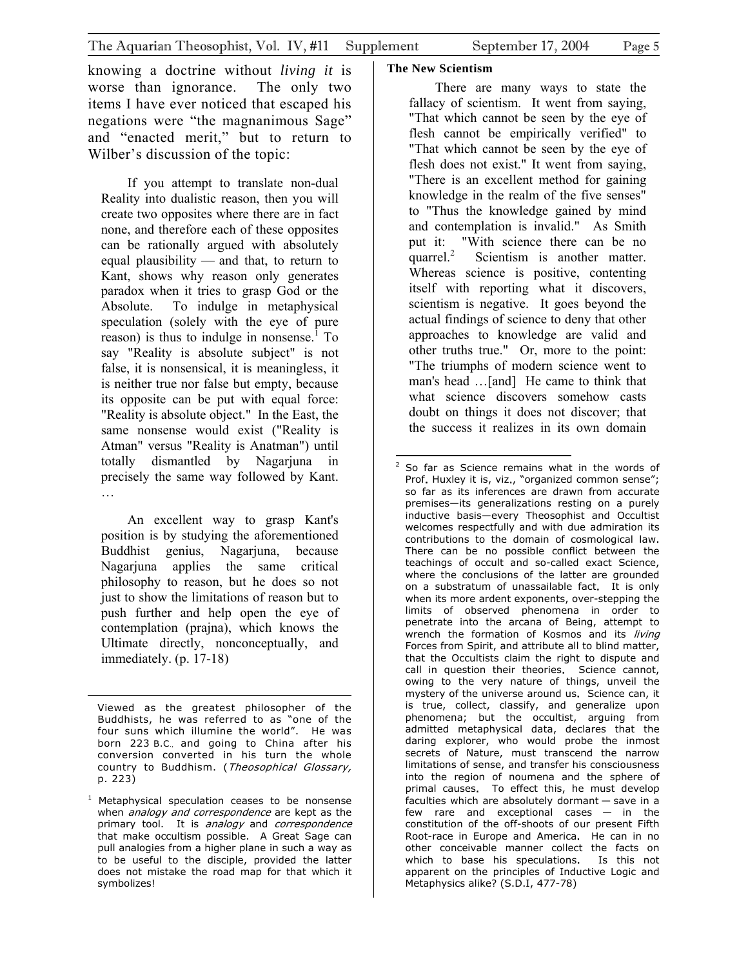knowing a doctrine without *living it* is worse than ignorance. The only two items I have ever noticed that escaped his negations were "the magnanimous Sage" and "enacted merit," but to return to Wilber's discussion of the topic:

If you attempt to translate non-dual Reality into dualistic reason, then you will create two opposites where there are in fact none, and therefore each of these opposites can be rationally argued with absolutely equal plausibility — and that, to return to Kant, shows why reason only generates paradox when it tries to grasp God or the Absolute. To indulge in metaphysical speculation (solely with the eye of pure reason) is thus to indulge in nonsense.<sup>[1](#page-4-0)</sup> To say "Reality is absolute subject" is not false, it is nonsensical, it is meaningless, it is neither true nor false but empty, because its opposite can be put with equal force: "Reality is absolute object." In the East, the same nonsense would exist ("Reality is Atman" versus "Reality is Anatman") until totally dismantled by Nagarjuna in precisely the same way followed by Kant. …

An excellent way to grasp Kant's position is by studying the aforementioned Buddhist genius, Nagarjuna, because Nagarjuna applies the same critical philosophy to reason, but he does so not just to show the limitations of reason but to push further and help open the eye of contemplation (prajna), which knows the Ultimate directly, nonconceptually, and immediately. (p. 17-18)

 $\overline{a}$ 

#### **The New Scientism**

There are many ways to state the fallacy of scientism. It went from saying, "That which cannot be seen by the eye of flesh cannot be empirically verified" to "That which cannot be seen by the eye of flesh does not exist." It went from saying, "There is an excellent method for gaining knowledge in the realm of the five senses" to "Thus the knowledge gained by mind and contemplation is invalid." As Smith put it: "With science there can be no quarrel. $^{2}$  $^{2}$  $^{2}$  Scientism is another matter. Whereas science is positive, contenting itself with reporting what it discovers, scientism is negative. It goes beyond the actual findings of science to deny that other approaches to knowledge are valid and other truths true." Or, more to the point: "The triumphs of modern science went to man's head …[and] He came to think that what science discovers somehow casts doubt on things it does not discover; that the success it realizes in its own domain

country to Buddhism. (*Theosophical Glossary,* Viewed as the greatest philosopher of the Buddhists, he was referred to as "one of the four suns which illumine the world". He was born 223 B.C., and going to China after his conversion converted in his turn the whole p. 223)

<span id="page-4-0"></span><sup>&</sup>lt;sup>1</sup> Metaphysical speculation ceases to be nonsense when *analogy and correspondence* are kept as the primary tool. It is analogy and correspondence that make occultism possible. A Great Sage can pull analogies from a higher plane in such a way as to be useful to the disciple, provided the latter does not mistake the road map for that which it symbolizes!

<span id="page-4-1"></span> 2 So far as Science remains what in the words of Prof. Huxley it is, viz., "organized common sense"; so far as its inferences are drawn from accurate premises—its generalizations resting on a purely inductive basis—every Theosophist and Occultist welcomes respectfully and with due admiration its contributions to the domain of cosmological law. There can be no possible conflict between the teachings of occult and so-called exact Science, where the conclusions of the latter are grounded on a substratum of unassailable fact. It is only when its more ardent exponents, over-stepping the limits of observed phenomena in order to penetrate into the arcana of Being, attempt to wrench the formation of Kosmos and its living Forces from Spirit, and attribute all to blind matter, that the Occultists claim the right to dispute and call in question their theories. Science cannot, owing to the very nature of things, unveil the mystery of the universe around us. Science can, it is true, collect, classify, and generalize upon phenomena; but the occultist, arguing from admitted metaphysical data, declares that the daring explorer, who would probe the inmost secrets of Nature, must transcend the narrow limitations of sense, and transfer his consciousness into the region of noumena and the sphere of primal causes. To effect this, he must develop faculties which are absolutely dormant — save in a few rare and exceptional cases — in the constitution of the off-shoots of our present Fifth Root-race in Europe and America. He can in no other conceivable manner collect the facts on which to base his speculations. Is this not apparent on the principles of Inductive Logic and Metaphysics alike? (S.D.I, 477-78)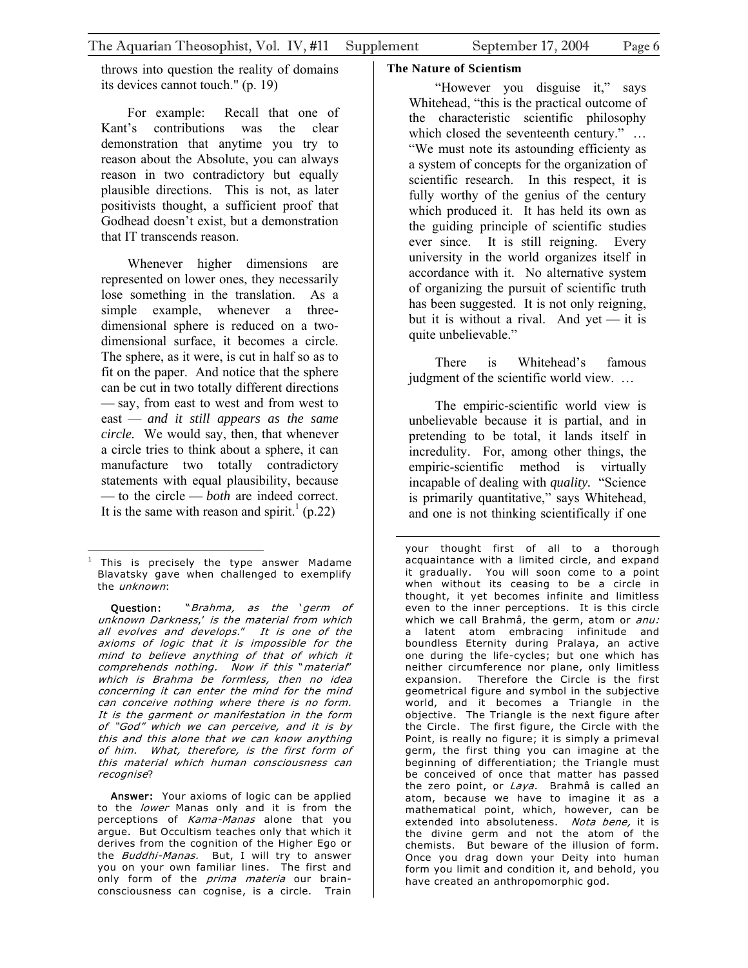throws into question the reality of domains its devices cannot touch." (p. 19)

For example: Recall that one of Kant's contributions was the clear demonstration that anytime you try to reason about the Absolute, you can always reason in two contradictory but equally plausible directions. This is not, as later positivists thought, a sufficient proof that Godhead doesn't exist, but a demonstration that IT transcends reason.

Whenever higher dimensions are represented on lower ones, they necessarily lose something in the translation. As a simple example, whenever a threedimensional sphere is reduced on a twodimensional surface, it becomes a circle. The sphere, as it were, is cut in half so as to fit on the paper. And notice that the sphere can be cut in two totally different directions — say, from east to west and from west to east — *and it still appears as the same circle.* We would say, then, that whenever a circle tries to think about a sphere, it can manufacture two totally contradictory statements with equal plausibility, because — to the circle — *both* are indeed correct. It is the same with reason and spirit.<sup>[1](#page-5-0)</sup> (p.22)

Answer: Your axioms of logic can be applied to the *lower* Manas only and it is from the perceptions of Kama-Manas alone that you argue. But Occultism teaches only that which it derives from the cognition of the Higher Ego or the Buddhi-Manas. But, I will try to answer you on your own familiar lines. The first and only form of the *prima materia* our brainconsciousness can cognise, is a circle. Train

"However you disguise it," says Whitehead, "this is the practical outcome of the characteristic scientific philosophy which closed the seventeenth century." ... "We must note its astounding efficienty as a system of concepts for the organization of scientific research. In this respect, it is fully worthy of the genius of the century which produced it. It has held its own as the guiding principle of scientific studies ever since. It is still reigning. Every university in the world organizes itself in accordance with it. No alternative system of organizing the pursuit of scientific truth has been suggested. It is not only reigning, but it is without a rival. And yet  $-$  it is quite unbelievable."

There is Whitehead's famous judgment of the scientific world view. …

The empiric-scientific world view is unbelievable because it is partial, and in pretending to be total, it lands itself in incredulity. For, among other things, the empiric-scientific method is virtually incapable of dealing with *quality.* "Science is primarily quantitative," says Whitehead, and one is not thinking scientifically if one

 $\overline{a}$ 

your thought first of all to a thorough acquaintance with a limited circle, and expand it gradually. You will soon come to a point when without its ceasing to be a circle in thought, it yet becomes infinite and limitless even to the inner perceptions. It is this circle which we call Brahmâ, the germ, atom or anu: a latent atom embracing infinitude and boundless Eternity during Pralaya, an active one during the life-cycles; but one which has neither circumference nor plane, only limitless expansion. Therefore the Circle is the first geometrical figure and symbol in the subjective world, and it becomes a Triangle in the objective. The Triangle is the next figure after the Circle. The first figure, the Circle with the Point, is really no figure; it is simply a primeval germ, the first thing you can imagine at the beginning of differentiation; the Triangle must be conceived of once that matter has passed the zero point, or Laya. Brahmâ is called an atom, because we have to imagine it as a mathematical point, which, however, can be extended into absoluteness. Nota bene, it is the divine germ and not the atom of the chemists. But beware of the illusion of form. Once you drag down your Deity into human form you limit and condition it, and behold, you have created an anthropomorphic god.

<span id="page-5-0"></span> $\overline{a}$ 1 This is precisely the type answer Madame Blavatsky gave when challenged to exemplify the unknown:

unknown Darkness,' is the material from which f which is Brahma be formless, then no idea concerning it can enter the mind for the mind It is the garment or manifestation in the form this material which human consciousness can Question: "Brahma, as the 'germ of all evolves and develops." It is one of the axioms of logic that it is impossible for the mind to believe anything of that of which it comprehends nothing. Now if this "material" can conceive nothing where there is no form. of "God" which we can perceive, and it is by this and this alone that we can know anything of him. What, therefore, is the first form of recognise?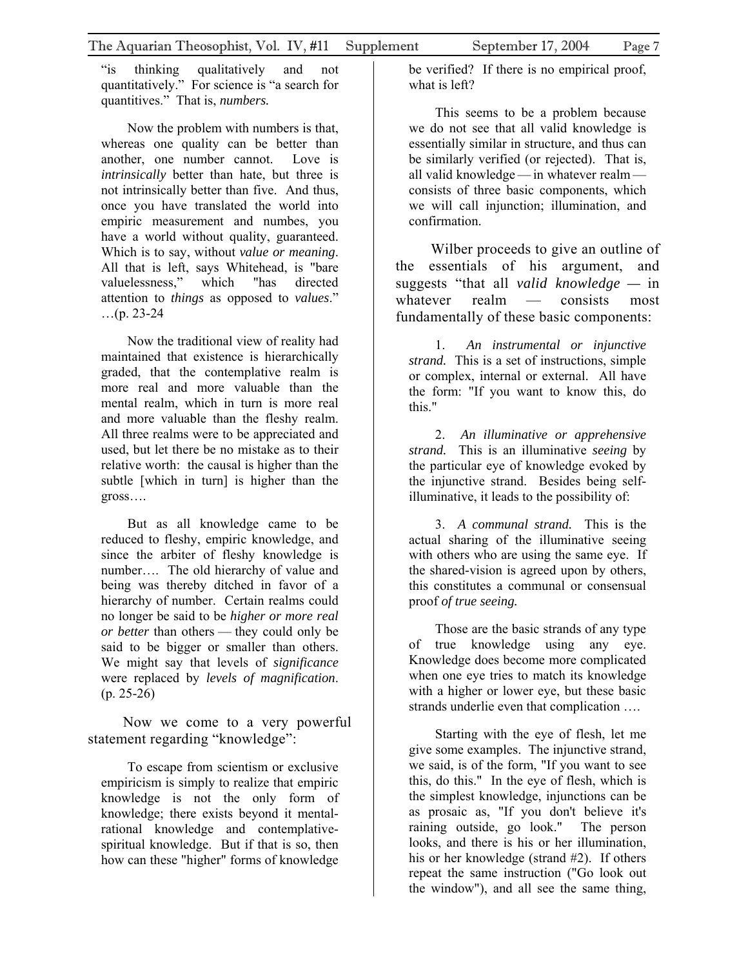"is thinking qualitatively and not quantitatively." For science is "a search for quantitives." That is, *numbers.*

Now the problem with numbers is that, whereas one quality can be better than another, one number cannot. Love is *intrinsically* better than hate, but three is not intrinsically better than five. And thus, once you have translated the world into empiric measurement and numbes, you have a world without quality, guaranteed. Which is to say, without *value or meaning*. All that is left, says Whitehead, is "bare valuelessness," which "has directed attention to *things* as opposed to *values*." …(p. 23-24

Now the traditional view of reality had maintained that existence is hierarchically graded, that the contemplative realm is more real and more valuable than the mental realm, which in turn is more real and more valuable than the fleshy realm. All three realms were to be appreciated and used, but let there be no mistake as to their relative worth: the causal is higher than the subtle [which in turn] is higher than the gross….

But as all knowledge came to be reduced to fleshy, empiric knowledge, and since the arbiter of fleshy knowledge is number…. The old hierarchy of value and being was thereby ditched in favor of a hierarchy of number. Certain realms could no longer be said to be *higher or more real or better* than others — they could only be said to be bigger or smaller than others. We might say that levels of *significance* were replaced by *levels of magnification*. (p. 25-26)

Now we come to a very powerful statement regarding "knowledge":

To escape from scientism or exclusive empiricism is simply to realize that empiric knowledge is not the only form of knowledge; there exists beyond it mentalrational knowledge and contemplativespiritual knowledge. But if that is so, then how can these "higher" forms of knowledge

be verified? If there is no empirical proof, what is left?

This seems to be a problem because we do not see that all valid knowledge is essentially similar in structure, and thus can be similarly verified (or rejected). That is, all valid knowledge — in whatever realm consists of three basic components, which we will call injunction; illumination, and confirmation.

Wilber proceeds to give an outline of the essentials of his argument, and suggests "that all *valid knowledge —* in whatever realm — consists most fundamentally of these basic components:

1. *An instrumental or injunctive strand.* This is a set of instructions, simple or complex, internal or external. All have the form: "If you want to know this, do this."

2. *An illuminative or apprehensive strand.* This is an illuminative *seeing* by the particular eye of knowledge evoked by the injunctive strand. Besides being selfilluminative, it leads to the possibility of:

3. *A communal strand.* This is the actual sharing of the illuminative seeing with others who are using the same eye. If the shared-vision is agreed upon by others, this constitutes a communal or consensual proof *of true seeing.*

Those are the basic strands of any type of true knowledge using any eye. Knowledge does become more complicated when one eye tries to match its knowledge with a higher or lower eye, but these basic strands underlie even that complication ….

Starting with the eye of flesh, let me give some examples. The injunctive strand, we said, is of the form, "If you want to see this, do this." In the eye of flesh, which is the simplest knowledge, injunctions can be as prosaic as, "If you don't believe it's raining outside, go look." The person looks, and there is his or her illumination, his or her knowledge (strand #2). If others repeat the same instruction ("Go look out the window"), and all see the same thing,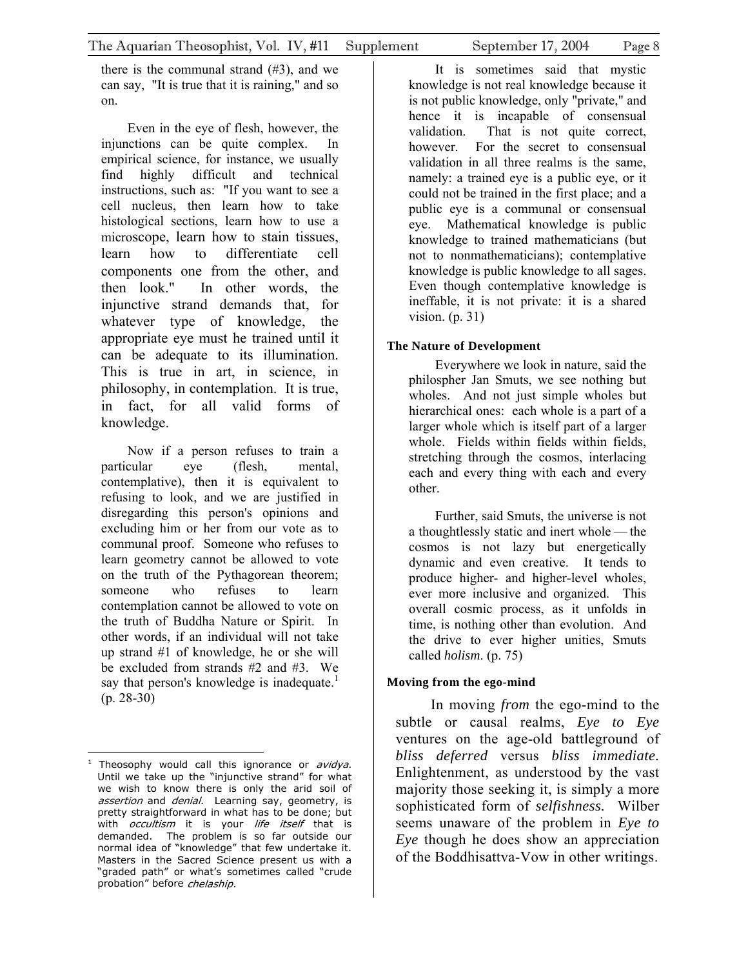there is the communal strand (#3), and we can say, "It is true that it is raining," and so on.

Even in the eye of flesh, however, the injunctions can be quite complex. In empirical science, for instance, we usually find highly difficult and technical instructions, such as: "If you want to see a cell nucleus, then learn how to take histological sections, learn how to use a microscope, learn how to stain tissues, learn how to differentiate cell components one from the other, and then look." In other words, the injunctive strand demands that, for whatever type of knowledge, the appropriate eye must he trained until it can be adequate to its illumination. This is true in art, in science, in philosophy, in contemplation. It is true, in fact, for all valid forms of knowledge.

Now if a person refuses to train a particular eye (flesh, mental, contemplative), then it is equivalent to refusing to look, and we are justified in disregarding this person's opinions and excluding him or her from our vote as to communal proof. Someone who refuses to learn geometry cannot be allowed to vote on the truth of the Pythagorean theorem; someone who refuses to learn contemplation cannot be allowed to vote on the truth of Buddha Nature or Spirit. In other words, if an individual will not take up strand #1 of knowledge, he or she will be excluded from strands #2 and #3. We say that person's knowledge is inadequate.<sup>[1](#page-7-0)</sup> (p. 28-30)

 $\overline{a}$ 

It is sometimes said that mystic knowledge is not real knowledge because it is not public knowledge, only "private," and hence it is incapable of consensual validation. That is not quite correct, however. For the secret to consensual validation in all three realms is the same, namely: a trained eye is a public eye, or it could not be trained in the first place; and a public eye is a communal or consensual eye. Mathematical knowledge is public knowledge to trained mathematicians (but not to nonmathematicians); contemplative knowledge is public knowledge to all sages. Even though contemplative knowledge is ineffable, it is not private: it is a shared vision. (p. 31)

#### **The Nature of Development**

Everywhere we look in nature, said the philospher Jan Smuts, we see nothing but wholes. And not just simple wholes but hierarchical ones: each whole is a part of a larger whole which is itself part of a larger whole. Fields within fields within fields, stretching through the cosmos, interlacing each and every thing with each and every other.

Further, said Smuts, the universe is not a thoughtlessly static and inert whole — the cosmos is not lazy but energetically dynamic and even creative. It tends to produce higher- and higher-level wholes, ever more inclusive and organized. This overall cosmic process, as it unfolds in time, is nothing other than evolution. And the drive to ever higher unities, Smuts called *holism*. (p. 75)

#### **Moving from the ego-mind**

In moving *from* the ego-mind to the subtle or causal realms, *Eye to Eye* ventures on the age-old battleground of *bliss deferred* versus *bliss immediate.* Enlightenment, as understood by the vast majority those seeking it, is simply a more sophisticated form of *selfishness.* Wilber seems unaware of the problem in *Eye to Eye* though he does show an appreciation of the Boddhisattva-Vow in other writings.

<span id="page-7-0"></span>with *occultism* it is your *life itself* that is probation" before *chelaship.* <sup>1</sup> Theosophy would call this ignorance or *avidya.* Until we take up the "injunctive strand" for what we wish to know there is only the arid soil of assertion and *denial*. Learning say, geometry, is pretty straightforward in what has to be done; but demanded. The problem is so far outside our normal idea of "knowledge" that few undertake it. Masters in the Sacred Science present us with a "graded path" or what's sometimes called "crude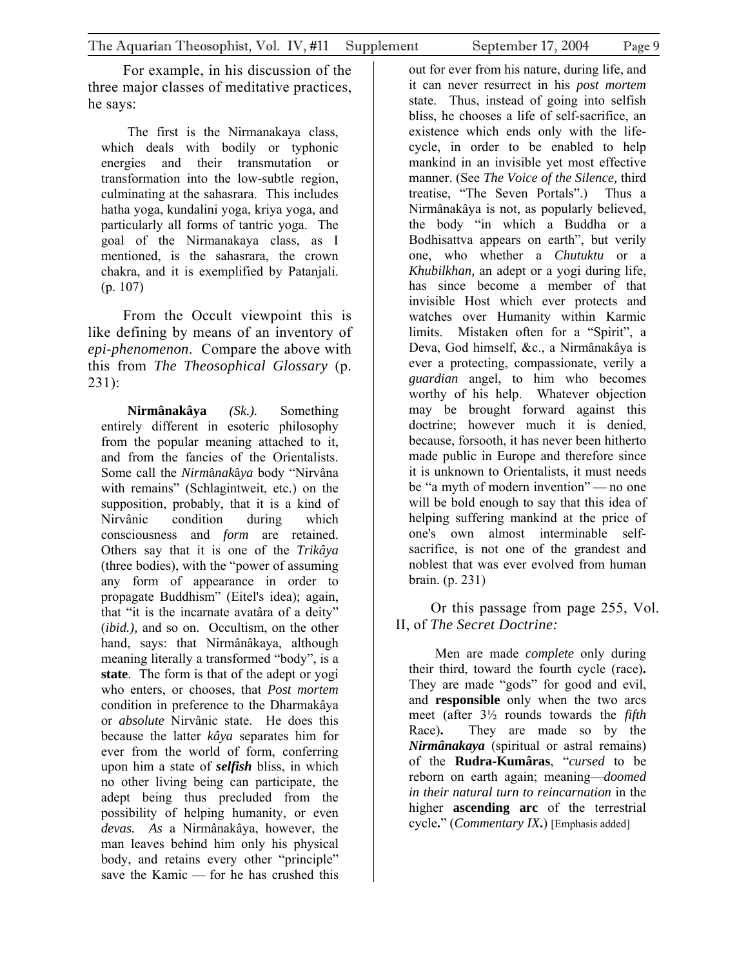For example, in his discussion of the three major classes of meditative practices, he says:

The first is the Nirmanakaya class, which deals with bodily or typhonic energies and their transmutation or transformation into the low-subtle region, culminating at the sahasrara. This includes hatha yoga, kundalini yoga, kriya yoga, and particularly all forms of tantric yoga. The goal of the Nirmanakaya class, as I mentioned, is the sahasrara, the crown chakra, and it is exemplified by Patanjali. (p. 107)

From the Occult viewpoint this is like defining by means of an inventory of *epi-phenomenon*. Compare the above with this from *The Theosophical Glossary* (p. 231):

**Nirmânakâya** *(Sk.).* Something entirely different in esoteric philosophy from the popular meaning attached to it, and from the fancies of the Orientalists. Some call the *Nirm*â*nak*â*ya* body "Nirvâna with remains" (Schlagintweit, etc.) on the supposition, probably, that it is a kind of Nirvânic condition during which consciousness and *form* are retained. Others say that it is one of the *Trikâya*  (three bodies), with the "power of assuming any form of appearance in order to propagate Buddhism" (Eitel's idea); again, that "it is the incarnate avatâra of a deity" (*ibid.),* and so on. Occultism, on the other hand, says: that Nirmânâkaya, although meaning literally a transformed "body", is a **state**. The form is that of the adept or yogi who enters, or chooses, that *Post mortem*  condition in preference to the Dharmakâya or *absolute* Nirvânic state. He does this because the latter *kâya* separates him for ever from the world of form, conferring upon him a state of *selfish* bliss, in which no other living being can participate, the adept being thus precluded from the possibility of helping humanity, or even *devas. As* a Nirmânakâya, however, the man leaves behind him only his physical body, and retains every other "principle" save the Kamic — for he has crushed this out for ever from his nature, during life, and it can never resurrect in his *post mortem*  state. Thus, instead of going into selfish bliss, he chooses a life of self-sacrifice, an existence which ends only with the lifecycle, in order to be enabled to help mankind in an invisible yet most effective manner. (See *The Voice of the Silence,* third treatise, "The Seven Portals".) Thus a Nirmânakâya is not, as popularly believed, the body "in which a Buddha or a Bodhisattva appears on earth", but verily one, who whether a *Chutuktu* or a *Khubilkhan,* an adept or a yogi during life, has since become a member of that invisible Host which ever protects and watches over Humanity within Karmic limits. Mistaken often for a "Spirit", a Deva, God himself, &c., a Nirmânakâya is ever a protecting, compassionate, verily a *guardian* angel, to him who becomes worthy of his help. Whatever objection may be brought forward against this doctrine; however much it is denied, because, forsooth, it has never been hitherto made public in Europe and therefore since it is unknown to Orientalists, it must needs be "a myth of modern invention" — no one will be bold enough to say that this idea of helping suffering mankind at the price of one's own almost interminable selfsacrifice, is not one of the grandest and noblest that was ever evolved from human brain. (p. 231)

Or this passage from page 255, Vol. II, of *The Secret Doctrine:* 

Men are made *complete* only during their third, toward the fourth cycle (race)**.** They are made "gods" for good and evil, and **responsible** only when the two arcs meet (after 3½ rounds towards the *fifth* Race)**.** They are made so by the *Nirmânakaya* (spiritual or astral remains) of the **Rudra-Kumâras**, "*cursed* to be reborn on earth again; meaning—*doomed in their natural turn to reincarnation* in the higher **ascending arc** of the terrestrial cycle**.**" (*Commentary IX***.**) [Emphasis added]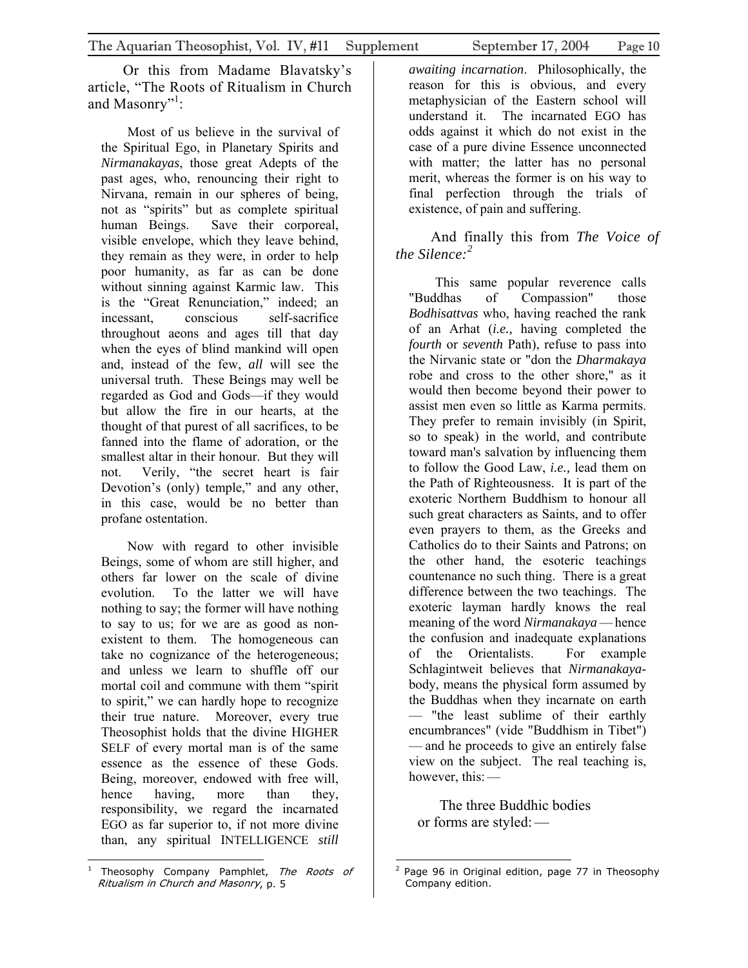Or this from Madame Blavatsky's article, "The Roots of Ritualism in Church and Masonry"<sup>[1](#page-9-0)</sup>:

Most of us believe in the survival of the Spiritual Ego, in Planetary Spirits and *Nirmanakayas*, those great Adepts of the past ages, who, renouncing their right to Nirvana, remain in our spheres of being, not as "spirits" but as complete spiritual human Beings. Save their corporeal, visible envelope, which they leave behind, they remain as they were, in order to help poor humanity, as far as can be done without sinning against Karmic law. This is the "Great Renunciation," indeed; an incessant, conscious self-sacrifice throughout aeons and ages till that day when the eyes of blind mankind will open and, instead of the few, *all* will see the universal truth. These Beings may well be regarded as God and Gods—if they would but allow the fire in our hearts, at the thought of that purest of all sacrifices, to be fanned into the flame of adoration, or the smallest altar in their honour. But they will not. Verily, "the secret heart is fair Devotion's (only) temple," and any other, in this case, would be no better than profane ostentation.

Now with regard to other invisible Beings, some of whom are still higher, and others far lower on the scale of divine evolution. To the latter we will have nothing to say; the former will have nothing to say to us; for we are as good as nonexistent to them. The homogeneous can take no cognizance of the heterogeneous; and unless we learn to shuffle off our mortal coil and commune with them "spirit to spirit," we can hardly hope to recognize their true nature. Moreover, every true Theosophist holds that the divine HIGHER SELF of every mortal man is of the same essence as the essence of these Gods. Being, moreover, endowed with free will, hence having, more than they, responsibility, we regard the incarnated EGO as far superior to, if not more divine than, any spiritual INTELLIGENCE *still*  *awaiting incarnation*. Philosophically, the reason for this is obvious, and every metaphysician of the Eastern school will understand it. The incarnated EGO has odds against it which do not exist in the case of a pure divine Essence unconnected with matter; the latter has no personal merit, whereas the former is on his way to final perfection through the trials of existence, of pain and suffering.

And finally this from *The Voice of the Silence:[2](#page-9-1)*

This same popular reverence calls "Buddhas of Compassion" those *Bodhisattvas* who, having reached the rank of an Arhat (*i.e.,* having completed the *fourth* or *seventh* Path), refuse to pass into the Nirvanic state or "don the *Dharmakaya*  robe and cross to the other shore," as it would then become beyond their power to assist men even so little as Karma permits. They prefer to remain invisibly (in Spirit, so to speak) in the world, and contribute toward man's salvation by influencing them to follow the Good Law, *i.e.,* lead them on the Path of Righteousness. It is part of the exoteric Northern Buddhism to honour all such great characters as Saints, and to offer even prayers to them, as the Greeks and Catholics do to their Saints and Patrons; on the other hand, the esoteric teachings countenance no such thing. There is a great difference between the two teachings. The exoteric layman hardly knows the real meaning of the word *Nirmanakaya*—hence the confusion and inadequate explanations of the Orientalists. For example Schlagintweit believes that *Nirmanakaya*body, means the physical form assumed by the Buddhas when they incarnate on earth — "the least sublime of their earthly encumbrances" (vide "Buddhism in Tibet") — and he proceeds to give an entirely false view on the subject. The real teaching is, however, this:—

The three Buddhic bodies or forms are styled:—

<span id="page-9-0"></span> $\overline{a}$ Ritualism in Church and Masonry, p. 5 1 Theosophy Company Pamphlet, The Roots of

<span id="page-9-1"></span> $\overline{a}$ 2 Page 96 in Original edition, page 77 in Theosophy Company edition.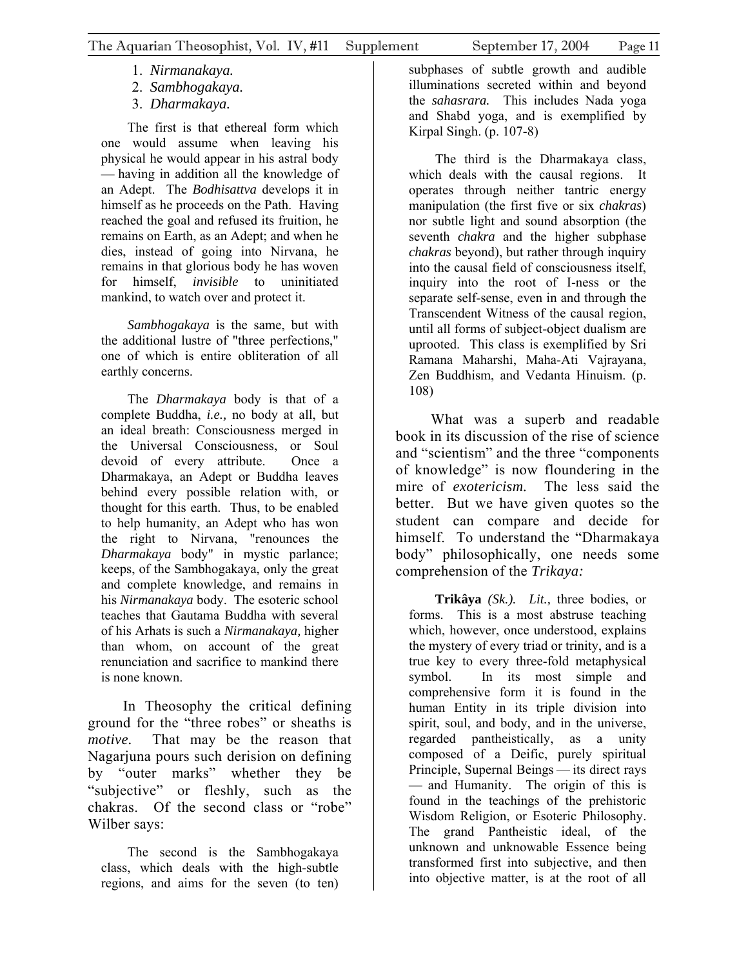1. *Nirmanakaya.*

- 2. *Sambhogakaya.*
- 3. *Dharmakaya.*

The first is that ethereal form which one would assume when leaving his physical he would appear in his astral body — having in addition all the knowledge of an Adept. The *Bodhisattva* develops it in himself as he proceeds on the Path. Having reached the goal and refused its fruition, he remains on Earth, as an Adept; and when he dies, instead of going into Nirvana, he remains in that glorious body he has woven for himself, *invisible* to uninitiated mankind, to watch over and protect it.

*Sambhogakaya* is the same, but with the additional lustre of "three perfections," one of which is entire obliteration of all earthly concerns.

The *Dharmakaya* body is that of a complete Buddha, *i.e.,* no body at all, but an ideal breath: Consciousness merged in the Universal Consciousness, or Soul devoid of every attribute. Once a Dharmakaya, an Adept or Buddha leaves behind every possible relation with, or thought for this earth. Thus, to be enabled to help humanity, an Adept who has won the right to Nirvana, "renounces the *Dharmakaya* body" in mystic parlance; keeps, of the Sambhogakaya, only the great and complete knowledge, and remains in his *Nirmanakaya* body. The esoteric school teaches that Gautama Buddha with several of his Arhats is such a *Nirmanakaya,* higher than whom, on account of the great renunciation and sacrifice to mankind there is none known.

In Theosophy the critical defining ground for the "three robes" or sheaths is *motive.* That may be the reason that Nagarjuna pours such derision on defining by "outer marks" whether they be "subjective" or fleshly, such as the chakras. Of the second class or "robe" Wilber says:

The second is the Sambhogakaya class, which deals with the high-subtle regions, and aims for the seven (to ten)

subphases of subtle growth and audible illuminations secreted within and beyond the *sahasrara.* This includes Nada yoga and Shabd yoga, and is exemplified by Kirpal Singh. (p. 107-8)

The third is the Dharmakaya class, which deals with the causal regions. It operates through neither tantric energy manipulation (the first five or six *chakras*) nor subtle light and sound absorption (the seventh *chakra* and the higher subphase *chakras* beyond), but rather through inquiry into the causal field of consciousness itself, inquiry into the root of I-ness or the separate self-sense, even in and through the Transcendent Witness of the causal region, until all forms of subject-object dualism are uprooted. This class is exemplified by Sri Ramana Maharshi, Maha-Ati Vajrayana, Zen Buddhism, and Vedanta Hinuism. (p. 108)

What was a superb and readable book in its discussion of the rise of science and "scientism" and the three "components of knowledge" is now floundering in the mire of *exotericism.* The less said the better. But we have given quotes so the student can compare and decide for himself. To understand the "Dharmakaya body" philosophically, one needs some comprehension of the *Trikaya:*

**Trikâya** *(Sk.). Lit.,* three bodies, or forms. This is a most abstruse teaching which, however, once understood, explains the mystery of every triad or trinity, and is a true key to every three-fold metaphysical symbol. In its most simple and comprehensive form it is found in the human Entity in its triple division into spirit, soul, and body, and in the universe, regarded pantheistically, as a unity composed of a Deific, purely spiritual Principle, Supernal Beings — its direct rays — and Humanity. The origin of this is found in the teachings of the prehistoric Wisdom Religion, or Esoteric Philosophy. The grand Pantheistic ideal, of the unknown and unknowable Essence being transformed first into subjective, and then into objective matter, is at the root of all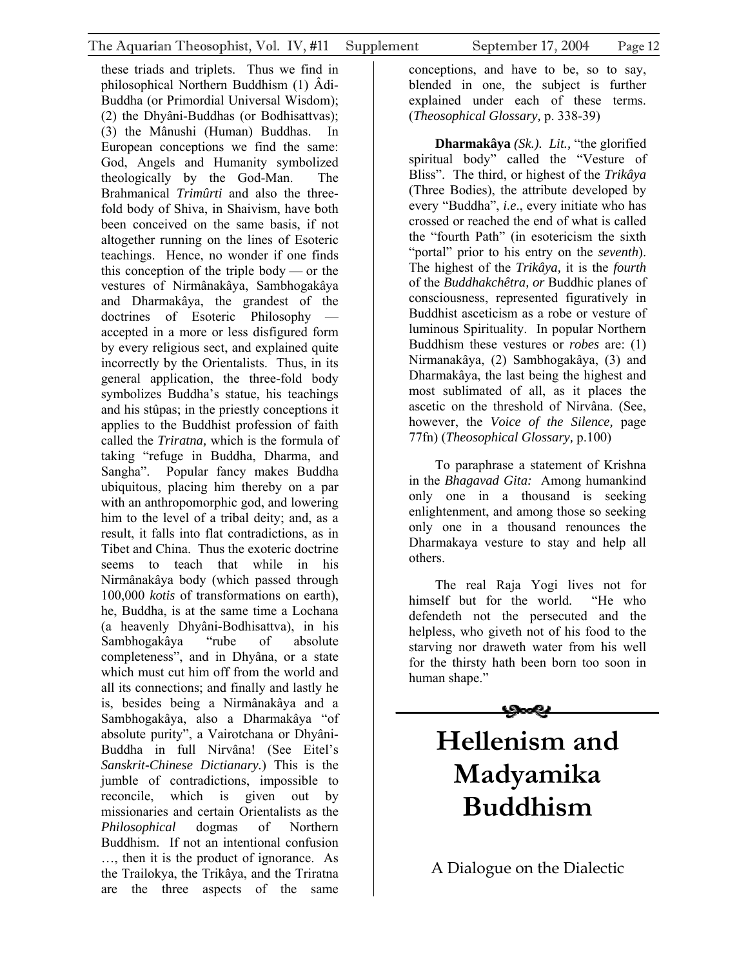<span id="page-11-0"></span>these triads and triplets. Thus we find in philosophical Northern Buddhism (1) Âdi-Buddha (or Primordial Universal Wisdom); (2) the Dhyâni-Buddhas (or Bodhisattvas); (3) the Mânushi (Human) Buddhas. In European conceptions we find the same: God, Angels and Humanity symbolized theologically by the God-Man. The Brahmanical *Trimûrti* and also the threefold body of Shiva, in Shaivism, have both been conceived on the same basis, if not altogether running on the lines of Esoteric teachings. Hence, no wonder if one finds this conception of the triple body — or the vestures of Nirmânakâya, Sambhogakâya and Dharmakâya, the grandest of the doctrines of Esoteric Philosophy accepted in a more or less disfigured form by every religious sect, and explained quite incorrectly by the Orientalists. Thus, in its general application, the three-fold body symbolizes Buddha's statue, his teachings and his stûpas; in the priestly conceptions it applies to the Buddhist profession of faith called the *Triratna,* which is the formula of taking "refuge in Buddha, Dharma, and Sangha". Popular fancy makes Buddha ubiquitous, placing him thereby on a par with an anthropomorphic god, and lowering him to the level of a tribal deity; and, as a result, it falls into flat contradictions, as in Tibet and China. Thus the exoteric doctrine seems to teach that while in his Nirmânakâya body (which passed through 100,000 *kotis* of transformations on earth), he, Buddha, is at the same time a Lochana (a heavenly Dhyâni-Bodhisattva), in his Sambhogakâya "rube of absolute completeness", and in Dhyâna, or a state which must cut him off from the world and all its connections; and finally and lastly he is, besides being a Nirmânakâya and a Sambhogakâya, also a Dharmakâya "of absolute purity", a Vairotchana or Dhyâni-Buddha in full Nirvâna! (See Eitel's *Sanskrit-Chinese Dictianary.*) This is the jumble of contradictions, impossible to reconcile, which is given out by missionaries and certain Orientalists as the *Philosophical* dogmas of Northern Buddhism. If not an intentional confusion …, then it is the product of ignorance. As the Trailokya, the Trikâya, and the Triratna are the three aspects of the same

conceptions, and have to be, so to say, blended in one, the subject is further explained under each of these terms. (*Theosophical Glossary,* p. 338-39)

**Dharmakâya** *(Sk.). Lit.,* "the glorified spiritual body" called the "Vesture of Bliss". The third, or highest of the *Trikâya*  (Three Bodies), the attribute developed by every "Buddha", *i.e*., every initiate who has crossed or reached the end of what is called the "fourth Path" (in esotericism the sixth "portal" prior to his entry on the *seventh*). The highest of the *Trikâya,* it is the *fourth*  of the *Buddhakchêtra, or* Buddhic planes of consciousness, represented figuratively in Buddhist asceticism as a robe or vesture of luminous Spirituality. In popular Northern Buddhism these vestures or *robes* are: (1) Nirmanakâya, (2) Sambhogakâya, (3) and Dharmakâya, the last being the highest and most sublimated of all, as it places the ascetic on the threshold of Nirvâna. (See, however, the *Voice of the Silence,* page 77fn) (*Theosophical Glossary,* p.100)

To paraphrase a statement of Krishna in the *Bhagavad Gita:* Among humankind only one in a thousand is seeking enlightenment, and among those so seeking only one in a thousand renounces the Dharmakaya vesture to stay and help all others.

The real Raja Yogi lives not for himself but for the world. "He who defendeth not the persecuted and the helpless, who giveth not of his food to the starving nor draweth water from his well for the thirsty hath been born too soon in human shape."

70°07

# **Hellenism and Madyamika Buddhism**

A Dialogue on the Dialectic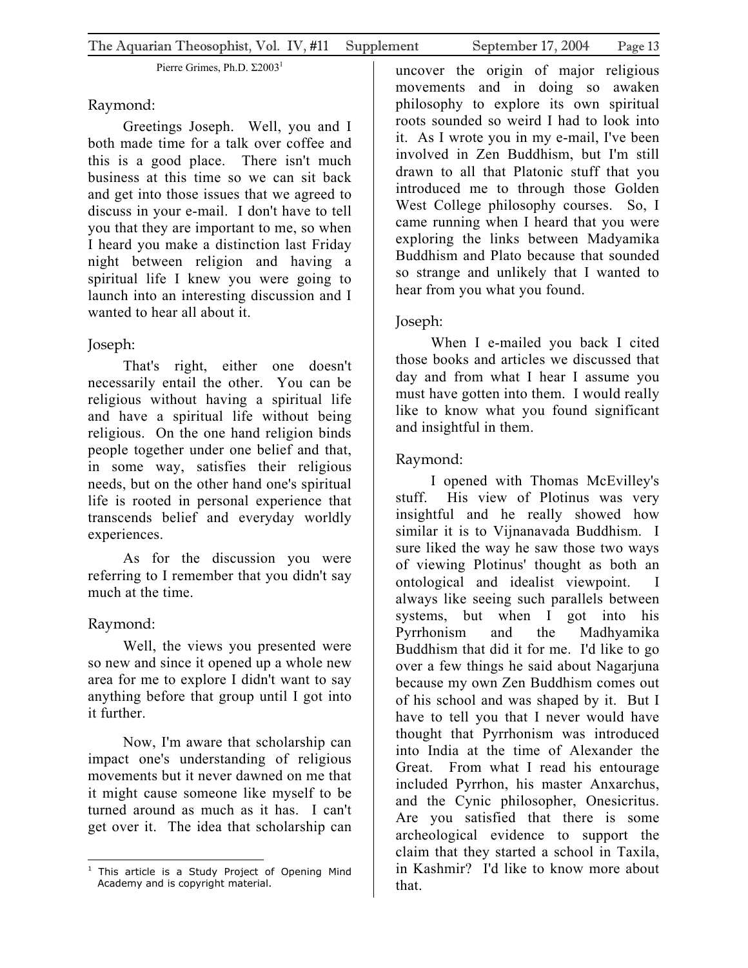Pierre Grimes, Ph.D. Σ2003<sup>[1](#page-12-0)</sup>

#### Raymond:

Greetings Joseph. Well, you and I both made time for a talk over coffee and this is a good place. There isn't much business at this time so we can sit back and get into those issues that we agreed to discuss in your e-mail. I don't have to tell you that they are important to me, so when I heard you make a distinction last Friday night between religion and having a spiritual life I knew you were going to launch into an interesting discussion and I wanted to hear all about it.

#### Joseph:

That's right, either one doesn't necessarily entail the other. You can be religious without having a spiritual life and have a spiritual life without being religious. On the one hand religion binds people together under one belief and that, in some way, satisfies their religious needs, but on the other hand one's spiritual life is rooted in personal experience that transcends belief and everyday worldly experiences.

As for the discussion you were referring to I remember that you didn't say much at the time.

#### Raymond:

Well, the views you presented were so new and since it opened up a whole new area for me to explore I didn't want to say anything before that group until I got into it further.

Now, I'm aware that scholarship can impact one's understanding of religious movements but it never dawned on me that it might cause someone like myself to be turned around as much as it has. I can't get over it. The idea that scholarship can

uncover the origin of major religious movements and in doing so awaken philosophy to explore its own spiritual roots sounded so weird I had to look into it. As I wrote you in my e-mail, I've been involved in Zen Buddhism, but I'm still drawn to all that Platonic stuff that you introduced me to through those Golden West College philosophy courses. So, I came running when I heard that you were exploring the links between Madyamika Buddhism and Plato because that sounded so strange and unlikely that I wanted to hear from you what you found.

#### Joseph:

When I e-mailed you back I cited those books and articles we discussed that day and from what I hear I assume you must have gotten into them. I would really like to know what you found significant and insightful in them.

#### Raymond:

I opened with Thomas McEvilley's stuff. His view of Plotinus was very insightful and he really showed how similar it is to Vijnanavada Buddhism. I sure liked the way he saw those two ways of viewing Plotinus' thought as both an ontological and idealist viewpoint. I always like seeing such parallels between systems, but when I got into his Pyrrhonism and the Madhyamika Buddhism that did it for me. I'd like to go over a few things he said about Nagarjuna because my own Zen Buddhism comes out of his school and was shaped by it. But I have to tell you that I never would have thought that Pyrrhonism was introduced into India at the time of Alexander the Great. From what I read his entourage included Pyrrhon, his master Anxarchus, and the Cynic philosopher, Onesicritus. Are you satisfied that there is some archeological evidence to support the claim that they started a school in Taxila, in Kashmir? I'd like to know more about that.

<span id="page-12-0"></span> 1 This article is a Study Project of Opening Mind Academy and is copyright material.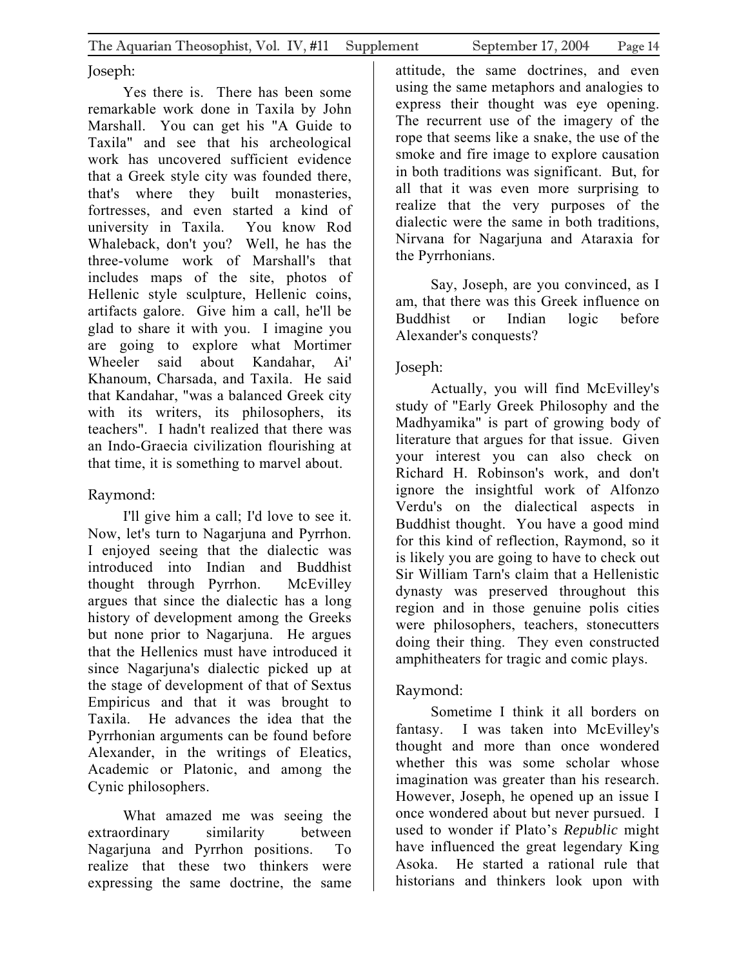Yes there is. There has been some remarkable work done in Taxila by John Marshall. You can get his "A Guide to Taxila" and see that his archeological work has uncovered sufficient evidence that a Greek style city was founded there, that's where they built monasteries, fortresses, and even started a kind of university in Taxila. You know Rod Whaleback, don't you? Well, he has the three-volume work of Marshall's that includes maps of the site, photos of Hellenic style sculpture, Hellenic coins, artifacts galore. Give him a call, he'll be glad to share it with you. I imagine you are going to explore what Mortimer Wheeler said about Kandahar, Ai' Khanoum, Charsada, and Taxila. He said that Kandahar, "was a balanced Greek city with its writers, its philosophers, its teachers". I hadn't realized that there was an Indo-Graecia civilization flourishing at that time, it is something to marvel about.

## Raymond:

I'll give him a call; I'd love to see it. Now, let's turn to Nagarjuna and Pyrrhon. I enjoyed seeing that the dialectic was introduced into Indian and Buddhist thought through Pyrrhon. McEvilley argues that since the dialectic has a long history of development among the Greeks but none prior to Nagarjuna. He argues that the Hellenics must have introduced it since Nagarjuna's dialectic picked up at the stage of development of that of Sextus Empiricus and that it was brought to Taxila. He advances the idea that the Pyrrhonian arguments can be found before Alexander, in the writings of Eleatics, Academic or Platonic, and among the Cynic philosophers.

What amazed me was seeing the extraordinary similarity between Nagarjuna and Pyrrhon positions. To realize that these two thinkers were expressing the same doctrine, the same

attitude, the same doctrines, and even using the same metaphors and analogies to express their thought was eye opening. The recurrent use of the imagery of the rope that seems like a snake, the use of the smoke and fire image to explore causation in both traditions was significant. But, for all that it was even more surprising to realize that the very purposes of the dialectic were the same in both traditions, Nirvana for Nagarjuna and Ataraxia for the Pyrrhonians.

Say, Joseph, are you convinced, as I am, that there was this Greek influence on Buddhist or Indian logic before Alexander's conquests?

## Joseph:

Actually, you will find McEvilley's study of "Early Greek Philosophy and the Madhyamika" is part of growing body of literature that argues for that issue. Given your interest you can also check on Richard H. Robinson's work, and don't ignore the insightful work of Alfonzo Verdu's on the dialectical aspects in Buddhist thought. You have a good mind for this kind of reflection, Raymond, so it is likely you are going to have to check out Sir William Tarn's claim that a Hellenistic dynasty was preserved throughout this region and in those genuine polis cities were philosophers, teachers, stonecutters doing their thing. They even constructed amphitheaters for tragic and comic plays.

## Raymond:

Sometime I think it all borders on fantasy. I was taken into McEvilley's thought and more than once wondered whether this was some scholar whose imagination was greater than his research. However, Joseph, he opened up an issue I once wondered about but never pursued. I used to wonder if Plato's *Republic* might have influenced the great legendary King Asoka. He started a rational rule that historians and thinkers look upon with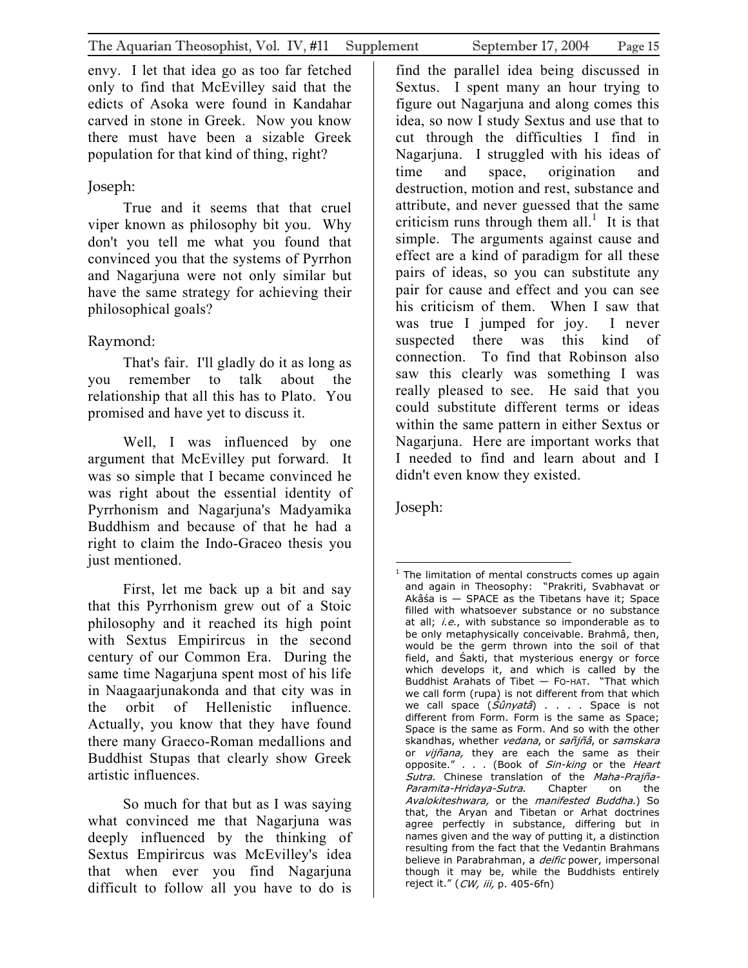envy. I let that idea go as too far fetched only to find that McEvilley said that the edicts of Asoka were found in Kandahar carved in stone in Greek. Now you know there must have been a sizable Greek population for that kind of thing, right?

#### Joseph:

True and it seems that that cruel viper known as philosophy bit you. Why don't you tell me what you found that convinced you that the systems of Pyrrhon and Nagarjuna were not only similar but have the same strategy for achieving their philosophical goals?

#### Raymond:

That's fair. I'll gladly do it as long as you remember to talk about the relationship that all this has to Plato. You promised and have yet to discuss it.

Well, I was influenced by one argument that McEvilley put forward. It was so simple that I became convinced he was right about the essential identity of Pyrrhonism and Nagarjuna's Madyamika Buddhism and because of that he had a right to claim the Indo-Graceo thesis you just mentioned.

First, let me back up a bit and say that this Pyrrhonism grew out of a Stoic philosophy and it reached its high point with Sextus Empirircus in the second century of our Common Era. During the same time Nagarjuna spent most of his life in Naagaarjunakonda and that city was in the orbit of Hellenistic influence. Actually, you know that they have found there many Graeco-Roman medallions and Buddhist Stupas that clearly show Greek artistic influences.

So much for that but as I was saying what convinced me that Nagarjuna was deeply influenced by the thinking of Sextus Empirircus was McEvilley's idea that when ever you find Nagarjuna difficult to follow all you have to do is

find the parallel idea being discussed in Sextus. I spent many an hour trying to figure out Nagarjuna and along comes this idea, so now I study Sextus and use that to cut through the difficulties I find in Nagarjuna. I struggled with his ideas of time and space, origination and destruction, motion and rest, substance and attribute, and never guessed that the same criticismruns through them all.<sup>1</sup> It is that simple. The arguments against cause and effect are a kind of paradigm for all these pairs of ideas, so you can substitute any pair for cause and effect and you can see his criticism of them. When I saw that was true I jumped for joy. I never suspected there was this kind of connection. To find that Robinson also saw this clearly was something I was really pleased to see. He said that you could substitute different terms or ideas within the same pattern in either Sextus or Nagarjuna. Here are important works that I needed to find and learn about and I didn't even know they existed.

Joseph:

<span id="page-14-0"></span> 1 The limitation of mental constructs comes up again Paramita-Hridaya-Sutra. Chapter on the reject it." (*CW, iii,* p. 405-6fn) and again in Theosophy: "Prakriti, Svabhavat or Akâśa is — SPACE as the Tibetans have it; Space filled with whatsoever substance or no substance at all; *i.e.*, with substance so imponderable as to be only metaphysically conceivable. Brahmâ, then, would be the germ thrown into the soil of that field, and Śakti, that mysterious energy or force which develops it, and which is called by the Buddhist Arahats of Tibet — FO-HAT. "That which we call form (rupa) is not different from that which we call space  $(\hat{\mathit{Sunyat\hat{a}}})$  . . . . Space is not different from Form. Form is the same as Space; Space is the same as Form. And so with the other skandhas, whether vedana, or sañjñâ, or samskara or vijñana, they are each the same as their opposite."  $\ldots$  (Book of *Sin-king* or the *Heart* Sutra. Chinese translation of the *Maha-Prajña-*<br>Paramita-Hridaya-Sutra. Chapter on the Avalokiteshwara, or the manifested Buddha.) So that, the Aryan and Tibetan or Arhat doctrines agree perfectly in substance, differing but in names given and the way of putting it, a distinction resulting from the fact that the Vedantin Brahmans believe in Parabrahman, a deific power, impersonal though it may be, while the Buddhists entirely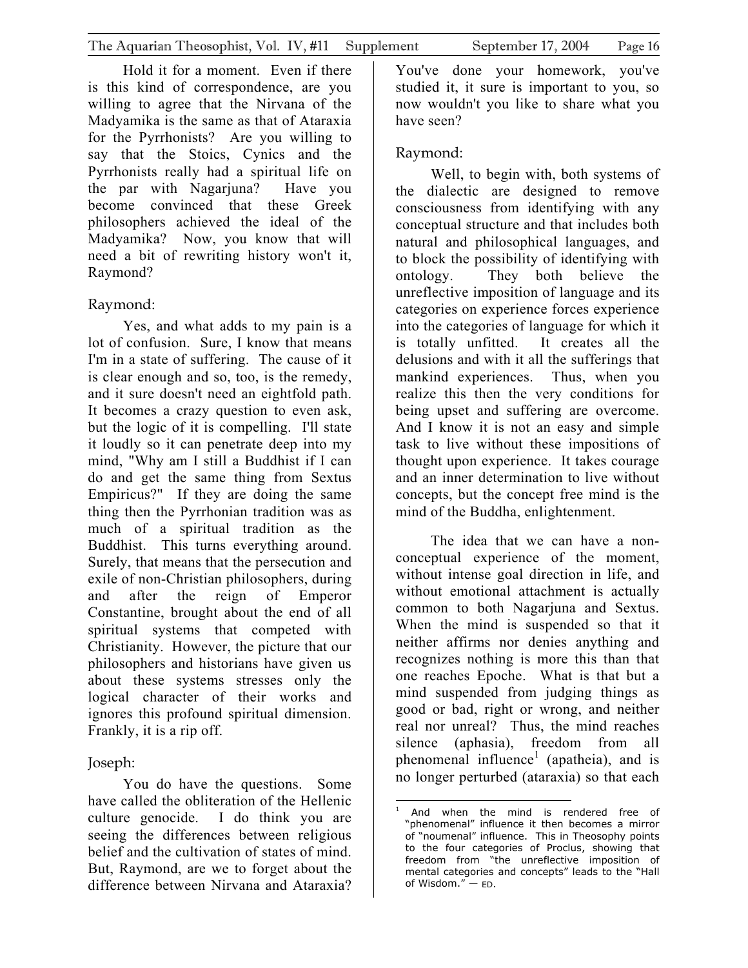Hold it for a moment. Even if there is this kind of correspondence, are you willing to agree that the Nirvana of the Madyamika is the same as that of Ataraxia for the Pyrrhonists? Are you willing to say that the Stoics, Cynics and the Pyrrhonists really had a spiritual life on the par with Nagarjuna? Have you become convinced that these Greek philosophers achieved the ideal of the Madyamika? Now, you know that will need a bit of rewriting history won't it, Raymond?

#### Raymond:

Yes, and what adds to my pain is a lot of confusion. Sure, I know that means I'm in a state of suffering. The cause of it is clear enough and so, too, is the remedy, and it sure doesn't need an eightfold path. It becomes a crazy question to even ask, but the logic of it is compelling. I'll state it loudly so it can penetrate deep into my mind, "Why am I still a Buddhist if I can do and get the same thing from Sextus Empiricus?" If they are doing the same thing then the Pyrrhonian tradition was as much of a spiritual tradition as the Buddhist. This turns everything around. Surely, that means that the persecution and exile of non-Christian philosophers, during and after the reign of Emperor Constantine, brought about the end of all spiritual systems that competed with Christianity. However, the picture that our philosophers and historians have given us about these systems stresses only the logical character of their works and ignores this profound spiritual dimension. Frankly, it is a rip off.

## Joseph:

You do have the questions. Some have called the obliteration of the Hellenic culture genocide. I do think you are seeing the differences between religious belief and the cultivation of states of mind. But, Raymond, are we to forget about the difference between Nirvana and Ataraxia?

You've done your homework, you've studied it, it sure is important to you, so now wouldn't you like to share what you have seen?

## Raymond:

Well, to begin with, both systems of the dialectic are designed to remove consciousness from identifying with any conceptual structure and that includes both natural and philosophical languages, and to block the possibility of identifying with ontology. They both believe the unreflective imposition of language and its categories on experience forces experience into the categories of language for which it is totally unfitted. It creates all the delusions and with it all the sufferings that mankind experiences. Thus, when you realize this then the very conditions for being upset and suffering are overcome. And I know it is not an easy and simple task to live without these impositions of thought upon experience. It takes courage and an inner determination to live without concepts, but the concept free mind is the mind of the Buddha, enlightenment.

The idea that we can have a nonconceptual experience of the moment, without intense goal direction in life, and without emotional attachment is actually common to both Nagarjuna and Sextus. When the mind is suspended so that it neither affirms nor denies anything and recognizes nothing is more this than that one reaches Epoche. What is that but a mind suspended from judging things as good or bad, right or wrong, and neither real nor unreal? Thus, the mind reaches silence (aphasia), freedom from all phenomenal influence<sup>[1](#page-15-0)</sup> (apatheia), and is no longer perturbed (ataraxia) so that each

<span id="page-15-0"></span> $\overline{a}$ 1 And when the mind is rendered free of "phenomenal" influence it then becomes a mirror of "noumenal" influence. This in Theosophy points to the four categories of Proclus, showing that freedom from "the unreflective imposition of mental categories and concepts" leads to the "Hall of Wisdom." — ED.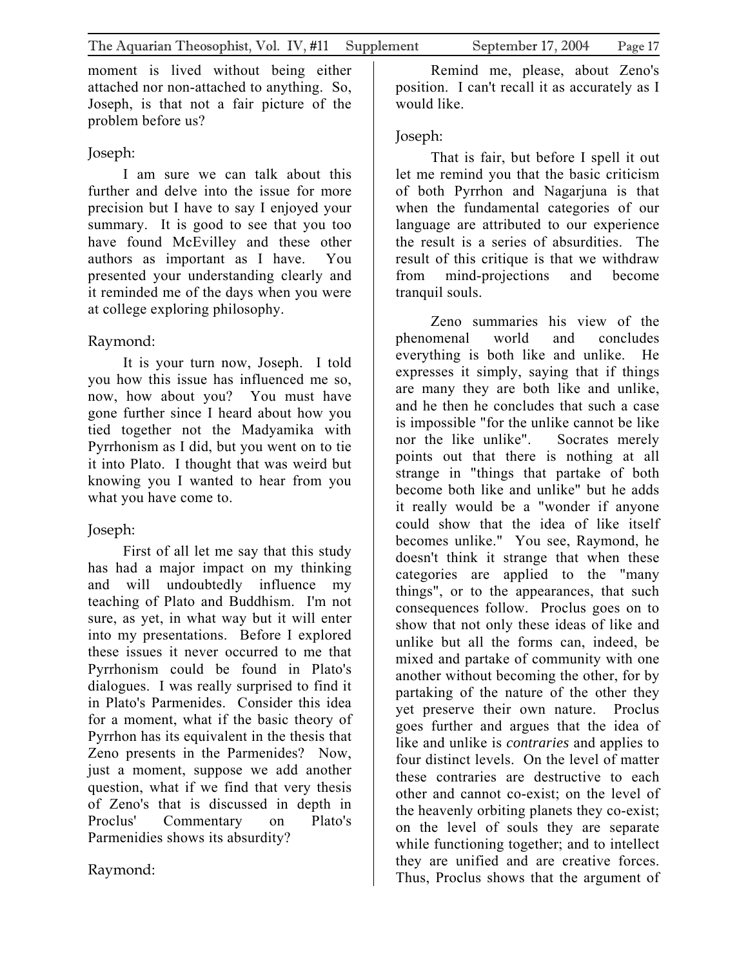moment is lived without being either attached nor non-attached to anything. So, Joseph, is that not a fair picture of the problem before us?

## Joseph:

I am sure we can talk about this further and delve into the issue for more precision but I have to say I enjoyed your summary. It is good to see that you too have found McEvilley and these other authors as important as I have. You presented your understanding clearly and it reminded me of the days when you were at college exploring philosophy.

## Raymond:

It is your turn now, Joseph. I told you how this issue has influenced me so, now, how about you? You must have gone further since I heard about how you tied together not the Madyamika with Pyrrhonism as I did, but you went on to tie it into Plato. I thought that was weird but knowing you I wanted to hear from you what you have come to.

## Joseph:

First of all let me say that this study has had a major impact on my thinking and will undoubtedly influence my teaching of Plato and Buddhism. I'm not sure, as yet, in what way but it will enter into my presentations. Before I explored these issues it never occurred to me that Pyrrhonism could be found in Plato's dialogues. I was really surprised to find it in Plato's Parmenides. Consider this idea for a moment, what if the basic theory of Pyrrhon has its equivalent in the thesis that Zeno presents in the Parmenides? Now, just a moment, suppose we add another question, what if we find that very thesis of Zeno's that is discussed in depth in Proclus' Commentary on Plato's Parmenidies shows its absurdity?

## Raymond:

Remind me, please, about Zeno's position. I can't recall it as accurately as I would like.

## Joseph:

That is fair, but before I spell it out let me remind you that the basic criticism of both Pyrrhon and Nagarjuna is that when the fundamental categories of our language are attributed to our experience the result is a series of absurdities. The result of this critique is that we withdraw from mind-projections and become tranquil souls.

Zeno summaries his view of the phenomenal world and concludes everything is both like and unlike. He expresses it simply, saying that if things are many they are both like and unlike, and he then he concludes that such a case is impossible "for the unlike cannot be like nor the like unlike". Socrates merely points out that there is nothing at all strange in "things that partake of both become both like and unlike" but he adds it really would be a "wonder if anyone could show that the idea of like itself becomes unlike." You see, Raymond, he doesn't think it strange that when these categories are applied to the "many things", or to the appearances, that such consequences follow. Proclus goes on to show that not only these ideas of like and unlike but all the forms can, indeed, be mixed and partake of community with one another without becoming the other, for by partaking of the nature of the other they yet preserve their own nature. Proclus goes further and argues that the idea of like and unlike is *contraries* and applies to four distinct levels. On the level of matter these contraries are destructive to each other and cannot co-exist; on the level of the heavenly orbiting planets they co-exist; on the level of souls they are separate while functioning together; and to intellect they are unified and are creative forces. Thus, Proclus shows that the argument of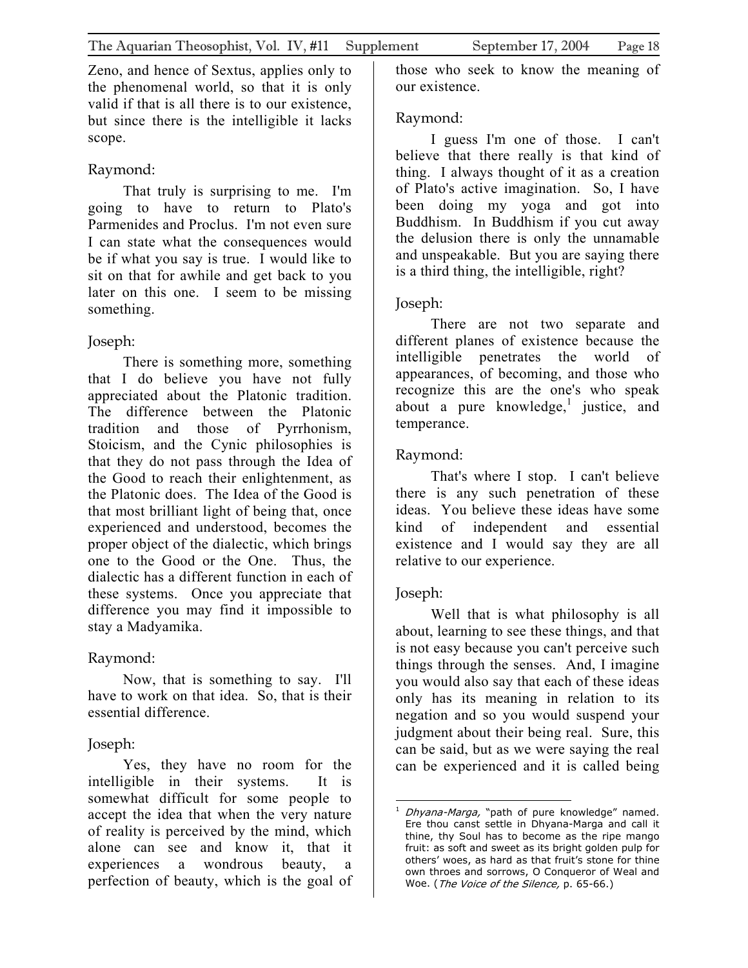Zeno, and hence of Sextus, applies only to the phenomenal world, so that it is only valid if that is all there is to our existence, but since there is the intelligible it lacks scope.

#### Raymond:

That truly is surprising to me. I'm going to have to return to Plato's Parmenides and Proclus. I'm not even sure I can state what the consequences would be if what you say is true. I would like to sit on that for awhile and get back to you later on this one. I seem to be missing something.

#### Joseph:

There is something more, something that I do believe you have not fully appreciated about the Platonic tradition. The difference between the Platonic tradition and those of Pyrrhonism, Stoicism, and the Cynic philosophies is that they do not pass through the Idea of the Good to reach their enlightenment, as the Platonic does. The Idea of the Good is that most brilliant light of being that, once experienced and understood, becomes the proper object of the dialectic, which brings one to the Good or the One. Thus, the dialectic has a different function in each of these systems. Once you appreciate that difference you may find it impossible to stay a Madyamika.

#### Raymond:

Now, that is something to say. I'll have to work on that idea. So, that is their essential difference.

#### Joseph:

Yes, they have no room for the intelligible in their systems. It is somewhat difficult for some people to accept the idea that when the very nature of reality is perceived by the mind, which alone can see and know it, that it experiences a wondrous beauty, a perfection of beauty, which is the goal of those who seek to know the meaning of our existence.

#### Raymond:

I guess I'm one of those. I can't believe that there really is that kind of thing. I always thought of it as a creation of Plato's active imagination. So, I have been doing my yoga and got into Buddhism. In Buddhism if you cut away the delusion there is only the unnamable and unspeakable. But you are saying there is a third thing, the intelligible, right?

#### Joseph:

There are not two separate and different planes of existence because the intelligible penetrates the world of appearances, of becoming, and those who recognize this are the one's who speak about a pure knowledge,<sup>[1](#page-17-0)</sup> justice, and temperance.

#### Raymond:

That's where I stop. I can't believe there is any such penetration of these ideas. You believe these ideas have some kind of independent and essential existence and I would say they are all relative to our experience.

#### Joseph:

Well that is what philosophy is all about, learning to see these things, and that is not easy because you can't perceive such things through the senses. And, I imagine you would also say that each of these ideas only has its meaning in relation to its negation and so you would suspend your judgment about their being real. Sure, this can be said, but as we were saying the real can be experienced and it is called being

<span id="page-17-0"></span> $\overline{a}$ <sup>1</sup> Dhyana-Marga, "path of pure knowledge" named. Ere thou canst settle in Dhyana-Marga and call it thine, thy Soul has to become as the ripe mango fruit: as soft and sweet as its bright golden pulp for others' woes, as hard as that fruit's stone for thine own throes and sorrows, O Conqueror of Weal and Woe. (The Voice of the Silence, p. 65-66.)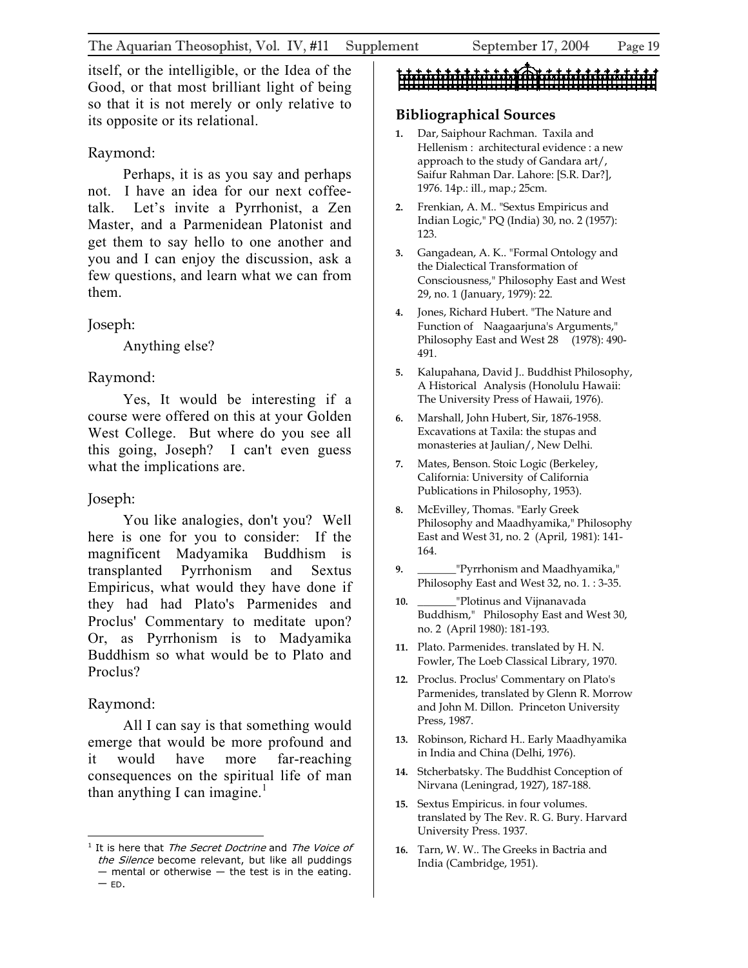itself, or the intelligible, or the Idea of the Good, or that most brilliant light of being so that it is not merely or only relative to its opposite or its relational.

#### Raymond:

Perhaps, it is as you say and perhaps not. I have an idea for our next coffeetalk. Let's invite a Pyrrhonist, a Zen Master, and a Parmenidean Platonist and get them to say hello to one another and you and I can enjoy the discussion, ask a few questions, and learn what we can from them.

#### Joseph:

Anything else?

#### Raymond:

Yes, It would be interesting if a course were offered on this at your Golden West College. But where do you see all this going, Joseph? I can't even guess what the implications are.

#### Joseph:

You like analogies, don't you? Well here is one for you to consider: If the magnificent Madyamika Buddhism is transplanted Pyrrhonism and Sextus Empiricus, what would they have done if they had had Plato's Parmenides and Proclus' Commentary to meditate upon? Or, as Pyrrhonism is to Madyamika Buddhism so what would be to Plato and Proclus?

#### Raymond:

All I can say is that something would emerge that would be more profound and it would have more far-reaching consequences on the spiritual life of man than anything I can imagine.<sup>[1](#page-18-0)</sup>

## निकारी प्रकार का प्रतिकारित के लिए का प्रकार का स्थित की दिया है जो की प्रकार की स्थापन की स्थापन की स्थापन को<br>स्थापन का स्थापन का स्थापन की स्थापन की स्थापन की स्थापन की स्थापन की स्थापन की स्थापन की स्थापन की स्थापन की

## **Bibliographical Sources**

- **1.** Dar, Saiphour Rachman. Taxila and Hellenism : architectural evidence : a new approach to the study of Gandara art/, Saifur Rahman Dar. Lahore: [S.R. Dar?], 1976. 14p.: ill., map.; 25cm.
- **2.** Frenkian, A. M.. "Sextus Empiricus and Indian Logic," PQ (India) 30, no. 2 (1957): 123.
- **3.** Gangadean, A. K.. "Formal Ontology and the Dialectical Transformation of Consciousness," Philosophy East and West 29, no. 1 (January, 1979): 22.
- **4.** Jones, Richard Hubert. "The Nature and Function of Naagaarjuna's Arguments," Philosophy East and West 28 (1978): 490- 491.
- **5.** Kalupahana, David J.. Buddhist Philosophy, A Historical Analysis (Honolulu Hawaii: The University Press of Hawaii, 1976).
- **6.** Marshall, John Hubert, Sir, 1876-1958. Excavations at Taxila: the stupas and monasteries at Jaulian/, New Delhi.
- **7.** Mates, Benson. Stoic Logic (Berkeley, California: University of California Publications in Philosophy, 1953).
- **8.** McEvilley, Thomas. "Early Greek Philosophy and Maadhyamika," Philosophy East and West 31, no. 2 (April, 1981): 141- 164.
- **9.** \_\_\_\_\_\_\_"Pyrrhonism and Maadhyamika," Philosophy East and West 32, no. 1. : 3-35.
- **10.** \_\_\_\_\_\_\_"Plotinus and Vijnanavada Buddhism," Philosophy East and West 30, no. 2 (April 1980): 181-193.
- **11.** Plato. Parmenides. translated by H. N. Fowler, The Loeb Classical Library, 1970.
- **12.** Proclus. Proclus' Commentary on Plato's Parmenides, translated by Glenn R. Morrow and John M. Dillon. Princeton University Press, 1987.
- **13.** Robinson, Richard H.. Early Maadhyamika in India and China (Delhi, 1976).
- **14.** Stcherbatsky. The Buddhist Conception of Nirvana (Leningrad, 1927), 187-188.
- **15.** Sextus Empiricus. in four volumes. translated by The Rev. R. G. Bury. Harvard University Press. 1937.
- **16.** Tarn, W. W.. The Greeks in Bactria and India (Cambridge, 1951).

<span id="page-18-0"></span> $\overline{a}$ the Silence become relevant, but like all puddings <sup>1</sup> It is here that The Secret Doctrine and The Voice of  $-$  mental or otherwise  $-$  the test is in the eating.  $-$  ED.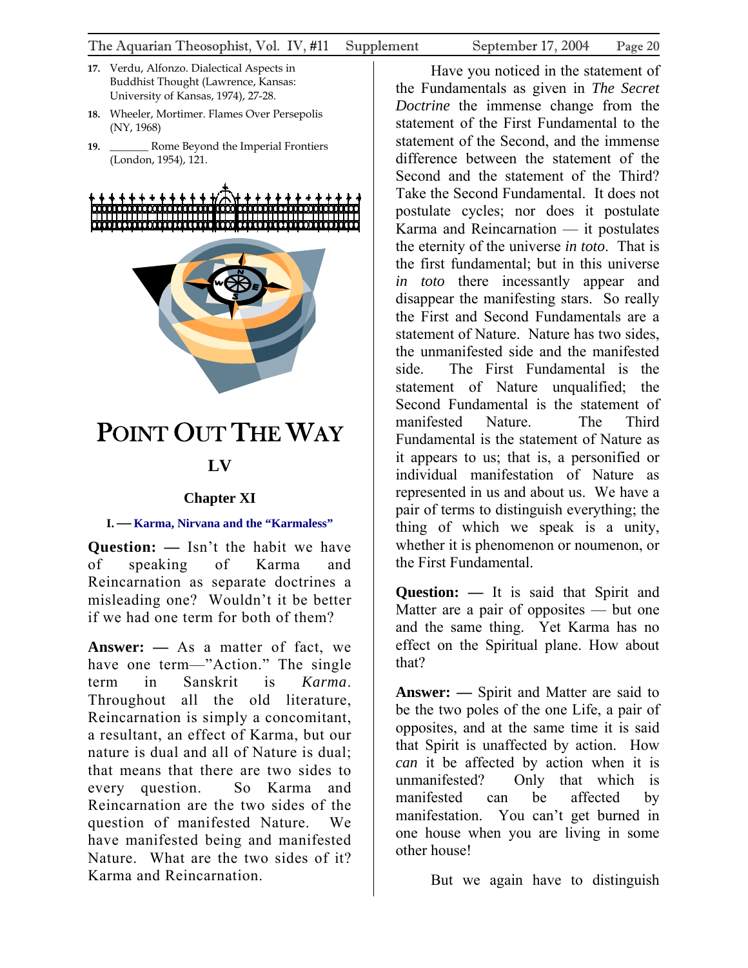- <span id="page-19-0"></span>**17.** Verdu, Alfonzo. Dialectical Aspects in Buddhist Thought (Lawrence, Kansas: University of Kansas, 1974), 27-28.
- **18.** Wheeler, Mortimer. Flames Over Persepolis (NY, 1968)
- **19.** \_\_\_\_\_\_\_ Rome Beyond the Imperial Frontiers (London, 1954), 121.



## POINT OUT THE WAY **LV**

#### **Chapter XI**

#### **I.—Karma, Nirvana and the "Karmaless"**

**Question: —** Isn't the habit we have of speaking of Karma and Reincarnation as separate doctrines a misleading one? Wouldn't it be better if we had one term for both of them?

**Answer: —** As a matter of fact, we have one term—"Action." The single term in Sanskrit is *Karma*. Throughout all the old literature, Reincarnation is simply a concomitant, a resultant, an effect of Karma, but our nature is dual and all of Nature is dual; that means that there are two sides to every question. So Karma and Reincarnation are the two sides of the question of manifested Nature. We have manifested being and manifested Nature. What are the two sides of it? Karma and Reincarnation.

Have you noticed in the statement of the Fundamentals as given in *The Secret Doctrine* the immense change from the statement of the First Fundamental to the statement of the Second, and the immense difference between the statement of the Second and the statement of the Third? Take the Second Fundamental. It does not postulate cycles; nor does it postulate Karma and Reincarnation — it postulates the eternity of the universe *in toto*. That is the first fundamental; but in this universe *in toto* there incessantly appear and disappear the manifesting stars. So really the First and Second Fundamentals are a statement of Nature. Nature has two sides, the unmanifested side and the manifested side. The First Fundamental is the statement of Nature unqualified; the Second Fundamental is the statement of manifested Nature. The Third Fundamental is the statement of Nature as it appears to us; that is, a personified or individual manifestation of Nature as represented in us and about us. We have a pair of terms to distinguish everything; the thing of which we speak is a unity, whether it is phenomenon or noumenon, or the First Fundamental.

**Question: —** It is said that Spirit and Matter are a pair of opposites — but one and the same thing. Yet Karma has no effect on the Spiritual plane. How about that?

**Answer: —** Spirit and Matter are said to be the two poles of the one Life, a pair of opposites, and at the same time it is said that Spirit is unaffected by action. How *can* it be affected by action when it is unmanifested? Only that which is manifested can be affected by manifestation. You can't get burned in one house when you are living in some other house!

But we again have to distinguish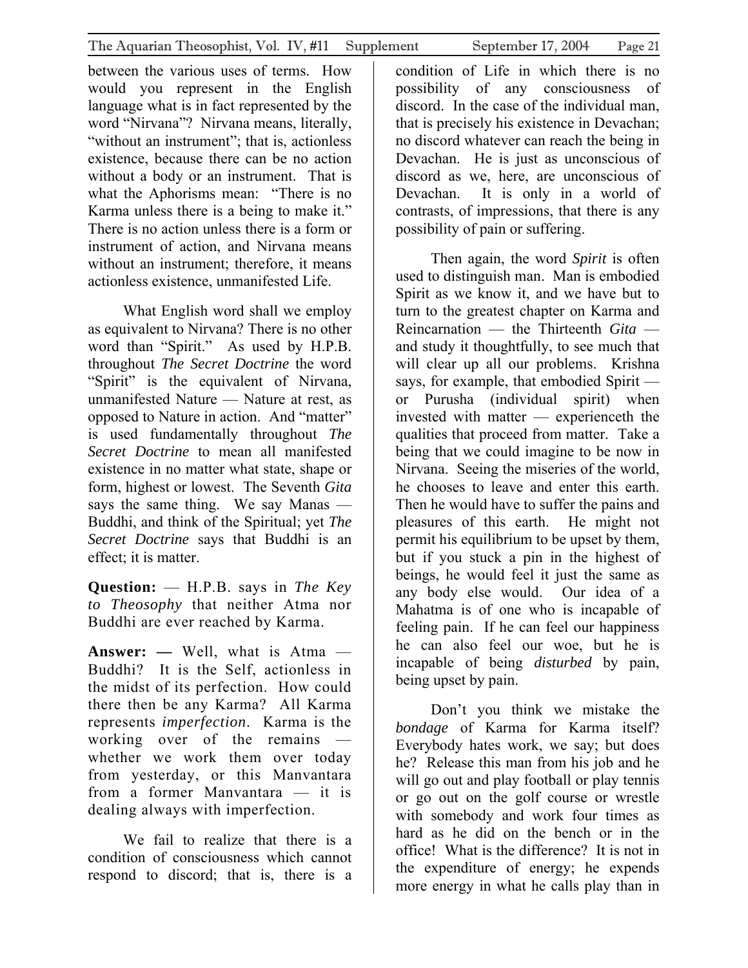between the various uses of terms. How would you represent in the English language what is in fact represented by the word "Nirvana"? Nirvana means, literally, "without an instrument"; that is, actionless existence, because there can be no action without a body or an instrument. That is what the Aphorisms mean: "There is no Karma unless there is a being to make it." There is no action unless there is a form or instrument of action, and Nirvana means without an instrument; therefore, it means actionless existence, unmanifested Life.

What English word shall we employ as equivalent to Nirvana? There is no other word than "Spirit." As used by H.P.B. throughout *The Secret Doctrine* the word "Spirit" is the equivalent of Nirvana, unmanifested Nature — Nature at rest, as opposed to Nature in action. And "matter" is used fundamentally throughout *The Secret Doctrine* to mean all manifested existence in no matter what state, shape or form, highest or lowest. The Seventh *Gita* says the same thing. We say Manas — Buddhi, and think of the Spiritual; yet *The Secret Doctrine* says that Buddhi is an effect; it is matter.

**Question:** — H.P.B. says in *The Key to Theosophy* that neither Atma nor Buddhi are ever reached by Karma.

**Answer: —** Well, what is Atma — Buddhi? It is the Self, actionless in the midst of its perfection. How could there then be any Karma? All Karma represents *imperfection*. Karma is the working over of the remains whether we work them over today from yesterday, or this Manvantara from a former Manvantara — it is dealing always with imperfection.

We fail to realize that there is a condition of consciousness which cannot respond to discord; that is, there is a condition of Life in which there is no possibility of any consciousness of discord. In the case of the individual man, that is precisely his existence in Devachan; no discord whatever can reach the being in Devachan. He is just as unconscious of discord as we, here, are unconscious of Devachan. It is only in a world of contrasts, of impressions, that there is any possibility of pain or suffering.

Then again, the word *Spirit* is often used to distinguish man. Man is embodied Spirit as we know it, and we have but to turn to the greatest chapter on Karma and Reincarnation — the Thirteenth *Gita* and study it thoughtfully, to see much that will clear up all our problems. Krishna says, for example, that embodied Spirit or Purusha (individual spirit) when invested with matter — experienceth the qualities that proceed from matter. Take a being that we could imagine to be now in Nirvana. Seeing the miseries of the world, he chooses to leave and enter this earth. Then he would have to suffer the pains and pleasures of this earth. He might not permit his equilibrium to be upset by them, but if you stuck a pin in the highest of beings, he would feel it just the same as any body else would. Our idea of a Mahatma is of one who is incapable of feeling pain. If he can feel our happiness he can also feel our woe, but he is incapable of being *disturbed* by pain, being upset by pain.

Don't you think we mistake the *bondage* of Karma for Karma itself? Everybody hates work, we say; but does he? Release this man from his job and he will go out and play football or play tennis or go out on the golf course or wrestle with somebody and work four times as hard as he did on the bench or in the office! What is the difference? It is not in the expenditure of energy; he expends more energy in what he calls play than in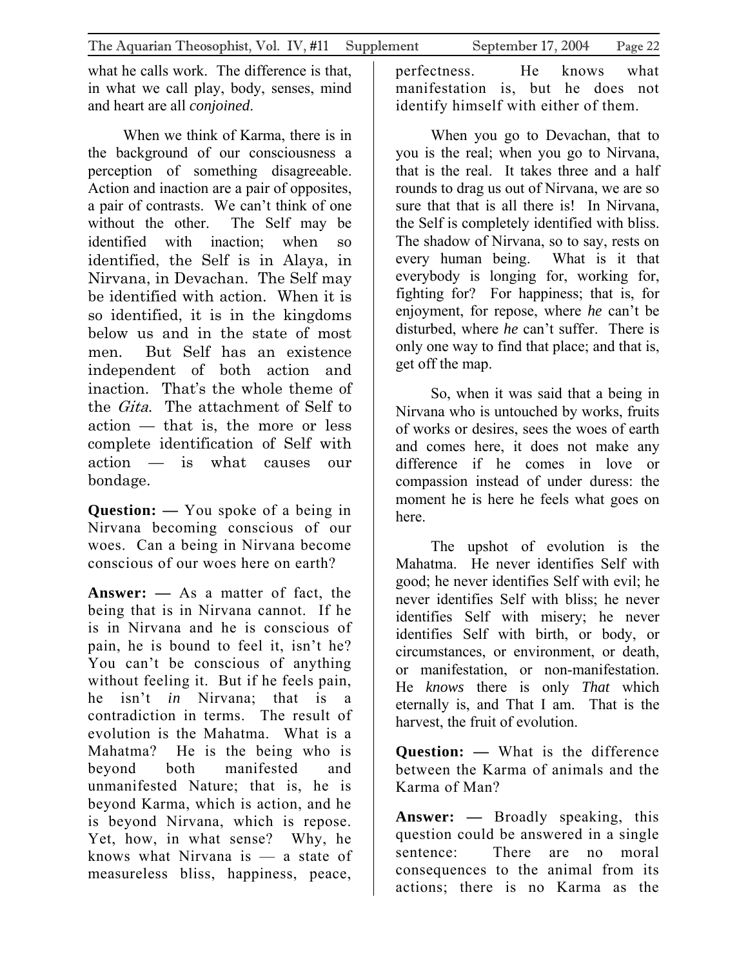what he calls work. The difference is that, in what we call play, body, senses, mind and heart are all *conjoined*.

When we think of Karma, there is in the background of our consciousness a perception of something disagreeable. Action and inaction are a pair of opposites, a pair of contrasts. We can't think of one without the other. The Self may be identified with inaction; when so identified, the Self is in Alaya, in Nirvana, in Devachan. The Self may be identified with action. When it is so identified, it is in the kingdoms below us and in the state of most men. But Self has an existence independent of both action and inaction. That's the whole theme of the Gita. The attachment of Self to action — that is, the more or less complete identification of Self with action — is what causes our bondage.

**Question: —** You spoke of a being in Nirvana becoming conscious of our woes. Can a being in Nirvana become conscious of our woes here on earth?

**Answer: —** As a matter of fact, the being that is in Nirvana cannot. If he is in Nirvana and he is conscious of pain, he is bound to feel it, isn't he? You can't be conscious of anything without feeling it. But if he feels pain, he isn't *in* Nirvana; that is a contradiction in terms. The result of evolution is the Mahatma. What is a Mahatma? He is the being who is beyond both manifested and unmanifested Nature; that is, he is beyond Karma, which is action, and he is beyond Nirvana, which is repose. Yet, how, in what sense? Why, he knows what Nirvana is — a state of measureless bliss, happiness, peace,

perfectness. He knows what manifestation is, but he does not identify himself with either of them.

When you go to Devachan, that to you is the real; when you go to Nirvana, that is the real. It takes three and a half rounds to drag us out of Nirvana, we are so sure that that is all there is! In Nirvana, the Self is completely identified with bliss. The shadow of Nirvana, so to say, rests on every human being. What is it that everybody is longing for, working for, fighting for? For happiness; that is, for enjoyment, for repose, where *he* can't be disturbed, where *he* can't suffer. There is only one way to find that place; and that is, get off the map.

So, when it was said that a being in Nirvana who is untouched by works, fruits of works or desires, sees the woes of earth and comes here, it does not make any difference if he comes in love or compassion instead of under duress: the moment he is here he feels what goes on here.

The upshot of evolution is the Mahatma. He never identifies Self with good; he never identifies Self with evil; he never identifies Self with bliss; he never identifies Self with misery; he never identifies Self with birth, or body, or circumstances, or environment, or death, or manifestation, or non-manifestation. He *knows* there is only *That* which eternally is, and That I am. That is the harvest, the fruit of evolution.

**Question: —** What is the difference between the Karma of animals and the Karma of Man?

**Answer: —** Broadly speaking, this question could be answered in a single sentence: There are no moral consequences to the animal from its actions; there is no Karma as the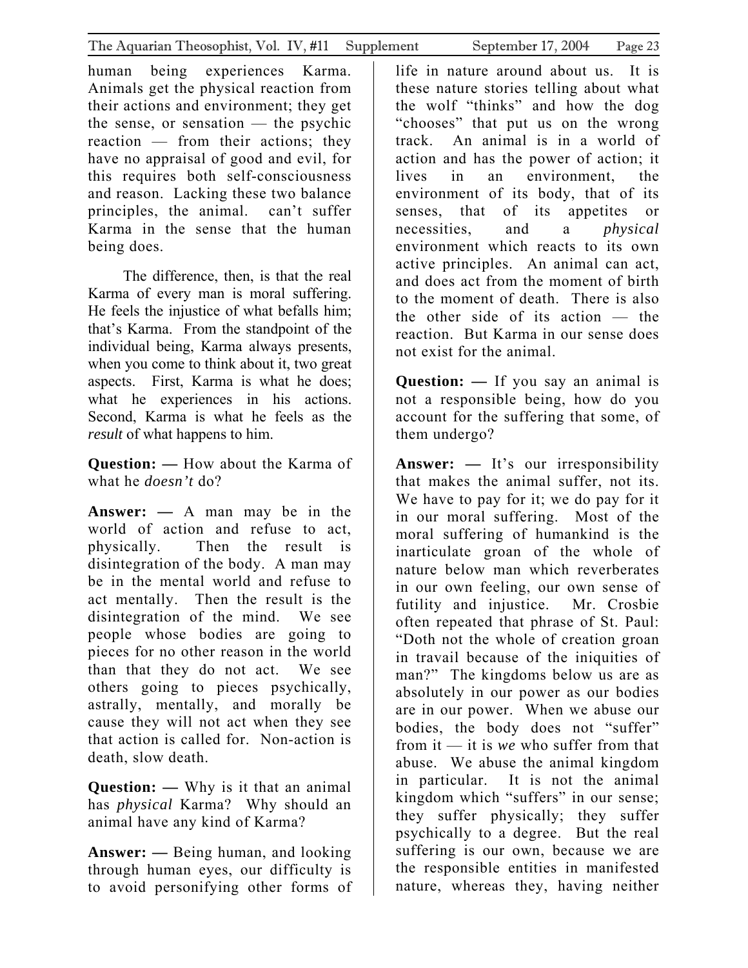human being experiences Karma. Animals get the physical reaction from their actions and environment; they get the sense, or sensation — the psychic reaction — from their actions; they have no appraisal of good and evil, for this requires both self-consciousness and reason. Lacking these two balance principles, the animal. can't suffer Karma in the sense that the human being does.

The difference, then, is that the real Karma of every man is moral suffering. He feels the injustice of what befalls him; that's Karma. From the standpoint of the individual being, Karma always presents, when you come to think about it, two great aspects. First, Karma is what he does; what he experiences in his actions. Second, Karma is what he feels as the *result* of what happens to him.

**Question: —** How about the Karma of what he *doesn't* do?

**Answer: —** A man may be in the world of action and refuse to act, physically. Then the result is disintegration of the body. A man may be in the mental world and refuse to act mentally. Then the result is the disintegration of the mind. We see people whose bodies are going to pieces for no other reason in the world than that they do not act. We see others going to pieces psychically, astrally, mentally, and morally be cause they will not act when they see that action is called for. Non-action is death, slow death.

**Question:** — Why is it that an animal has *physical* Karma? Why should an animal have any kind of Karma?

**Answer: —** Being human, and looking through human eyes, our difficulty is to avoid personifying other forms of

life in nature around about us. It is these nature stories telling about what the wolf "thinks" and how the dog "chooses" that put us on the wrong track. An animal is in a world of action and has the power of action; it lives in an environment, the environment of its body, that of its senses, that of its appetites or necessities, and a *physical* environment which reacts to its own active principles. An animal can act, and does act from the moment of birth to the moment of death. There is also the other side of its action — the reaction. But Karma in our sense does not exist for the animal.

**Question: —** If you say an animal is not a responsible being, how do you account for the suffering that some, of them undergo?

**Answer: —** It's our irresponsibility that makes the animal suffer, not its. We have to pay for it; we do pay for it in our moral suffering. Most of the moral suffering of humankind is the inarticulate groan of the whole of nature below man which reverberates in our own feeling, our own sense of futility and injustice. Mr. Crosbie often repeated that phrase of St. Paul: "Doth not the whole of creation groan in travail because of the iniquities of man?" The kingdoms below us are as absolutely in our power as our bodies are in our power. When we abuse our bodies, the body does not "suffer" from it — it is *we* who suffer from that abuse. We abuse the animal kingdom in particular. It is not the animal kingdom which "suffers" in our sense; they suffer physically; they suffer psychically to a degree. But the real suffering is our own, because we are the responsible entities in manifested nature, whereas they, having neither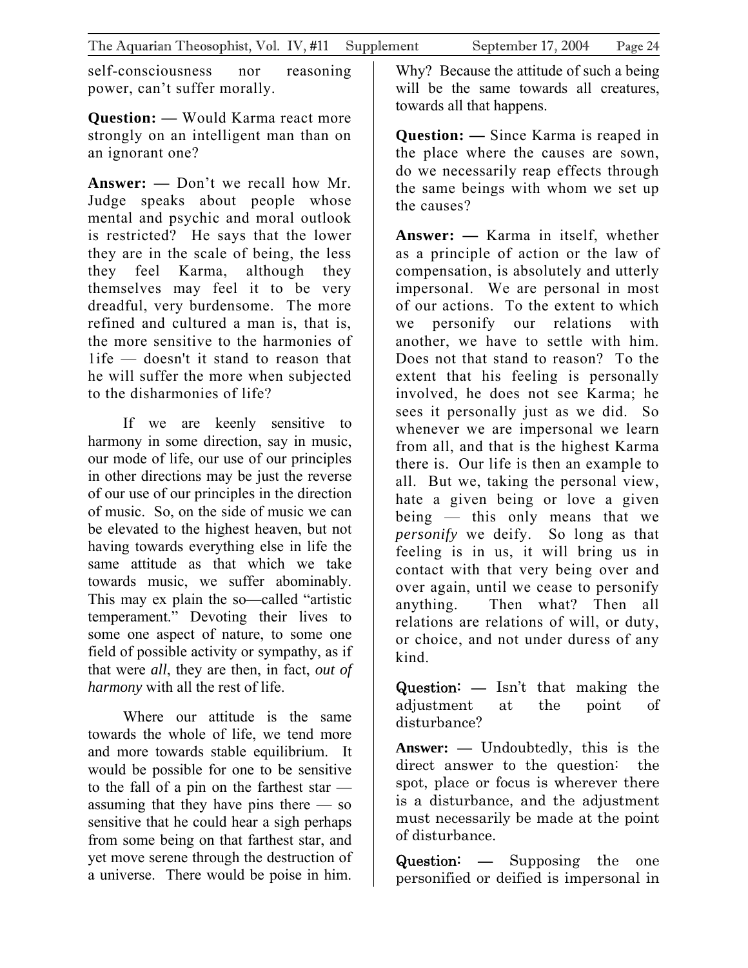self-consciousness nor reasoning power, can't suffer morally.

**Question: —** Would Karma react more strongly on an intelligent man than on an ignorant one?

**Answer: —** Don't we recall how Mr. Judge speaks about people whose mental and psychic and moral outlook is restricted? He says that the lower they are in the scale of being, the less they feel Karma, although they themselves may feel it to be very dreadful, very burdensome. The more refined and cultured a man is, that is, the more sensitive to the harmonies of 1ife — doesn't it stand to reason that he will suffer the more when subjected to the disharmonies of life?

If we are keenly sensitive to harmony in some direction, say in music, our mode of life, our use of our principles in other directions may be just the reverse of our use of our principles in the direction of music. So, on the side of music we can be elevated to the highest heaven, but not having towards everything else in life the same attitude as that which we take towards music, we suffer abominably. This may ex plain the so—called "artistic temperament." Devoting their lives to some one aspect of nature, to some one field of possible activity or sympathy, as if that were *all*, they are then, in fact, *out of harmony* with all the rest of life.

Where our attitude is the same towards the whole of life, we tend more and more towards stable equilibrium. It would be possible for one to be sensitive to the fall of a pin on the farthest star assuming that they have pins there — so sensitive that he could hear a sigh perhaps from some being on that farthest star, and yet move serene through the destruction of a universe. There would be poise in him.

Why? Because the attitude of such a being will be the same towards all creatures, towards all that happens.

**Question: —** Since Karma is reaped in the place where the causes are sown, do we necessarily reap effects through the same beings with whom we set up the causes?

**Answer: —** Karma in itself, whether as a principle of action or the law of compensation, is absolutely and utterly impersonal. We are personal in most of our actions. To the extent to which we personify our relations with another, we have to settle with him. Does not that stand to reason? To the extent that his feeling is personally involved, he does not see Karma; he sees it personally just as we did. So whenever we are impersonal we learn from all, and that is the highest Karma there is. Our life is then an example to all. But we, taking the personal view, hate a given being or love a given being — this only means that we *personify* we deify. So long as that feeling is in us, it will bring us in contact with that very being over and over again, until we cease to personify anything. Then what? Then all relations are relations of will, or duty, or choice, and not under duress of any kind.

Question: — Isn't that making the adjustment at the point of disturbance?

**Answer: —** Undoubtedly, this is the direct answer to the question: the spot, place or focus is wherever there is a disturbance, and the adjustment must necessarily be made at the point of disturbance.

Question: — Supposing the one personified or deified is impersonal in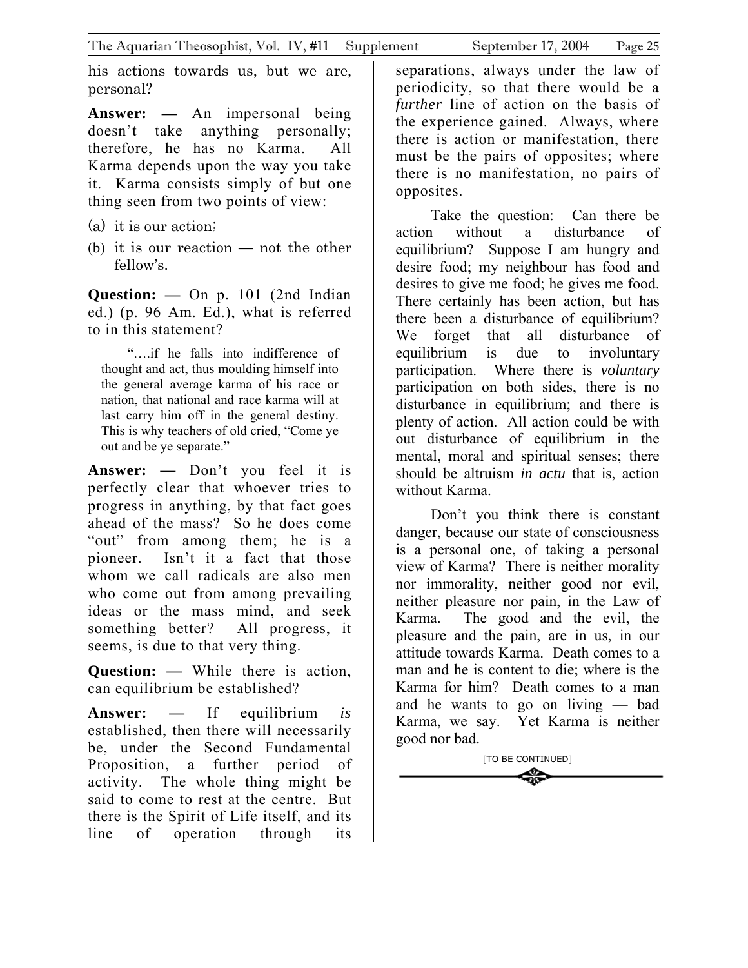his actions towards us, but we are, personal?

**Answer: —** An impersonal being doesn't take anything personally; therefore, he has no Karma. All Karma depends upon the way you take it. Karma consists simply of but one thing seen from two points of view:

- (a) it is our action;
- (b) it is our reaction not the other fellow's.

**Question: —** On p. 101 (2nd Indian ed.) (p. 96 Am. Ed.), what is referred to in this statement?

"….if he falls into indifference of thought and act, thus moulding himself into the general average karma of his race or nation, that national and race karma will at last carry him off in the general destiny. This is why teachers of old cried, "Come ye out and be ye separate."

**Answer: —** Don't you feel it is perfectly clear that whoever tries to progress in anything, by that fact goes ahead of the mass? So he does come "out" from among them; he is a pioneer. Isn't it a fact that those whom we call radicals are also men who come out from among prevailing ideas or the mass mind, and seek something better? All progress, it seems, is due to that very thing.

**Question: —** While there is action, can equilibrium be established?

**Answer: —** If equilibrium *is* established, then there will necessarily be, under the Second Fundamental Proposition, a further period of activity. The whole thing might be said to come to rest at the centre. But there is the Spirit of Life itself, and its line of operation through its

separations, always under the law of periodicity, so that there would be a *further* line of action on the basis of the experience gained. Always, where there is action or manifestation, there must be the pairs of opposites; where there is no manifestation, no pairs of opposites.

Take the question: Can there be action without a disturbance of equilibrium? Suppose I am hungry and desire food; my neighbour has food and desires to give me food; he gives me food. There certainly has been action, but has there been a disturbance of equilibrium? We forget that all disturbance of equilibrium is due to involuntary participation. Where there is *voluntary* participation on both sides, there is no disturbance in equilibrium; and there is plenty of action. All action could be with out disturbance of equilibrium in the mental, moral and spiritual senses; there should be altruism *in actu* that is, action without Karma.

Don't you think there is constant danger, because our state of consciousness is a personal one, of taking a personal view of Karma? There is neither morality nor immorality, neither good nor evil, neither pleasure nor pain, in the Law of Karma. The good and the evil, the pleasure and the pain, are in us, in our attitude towards Karma. Death comes to a man and he is content to die; where is the Karma for him? Death comes to a man and he wants to go on living — bad Karma, we say. Yet Karma is neither good nor bad.

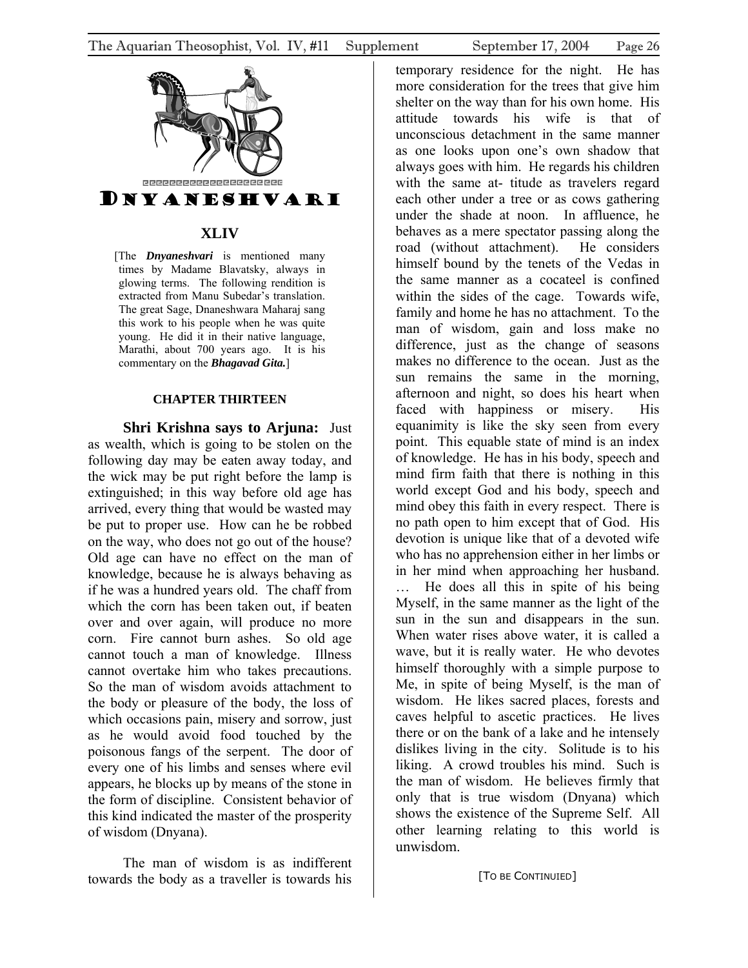

#### **XLIV**

[The *Dnyaneshvari* is mentioned many times by Madame Blavatsky, always in glowing terms. The following rendition is extracted from Manu Subedar's translation. The great Sage, Dnaneshwara Maharaj sang this work to his people when he was quite young. He did it in their native language, Marathi, about 700 years ago. It is his commentary on the *Bhagavad Gita.*]

#### **CHAPTER THIRTEEN**

**Shri Krishna says to Arjuna:** Just as wealth, which is going to be stolen on the following day may be eaten away today, and the wick may be put right before the lamp is extinguished; in this way before old age has arrived, every thing that would be wasted may be put to proper use. How can he be robbed on the way, who does not go out of the house? Old age can have no effect on the man of knowledge, because he is always behaving as if he was a hundred years old. The chaff from which the corn has been taken out, if beaten over and over again, will produce no more corn. Fire cannot burn ashes. So old age cannot touch a man of knowledge. Illness cannot overtake him who takes precautions. So the man of wisdom avoids attachment to the body or pleasure of the body, the loss of which occasions pain, misery and sorrow, just as he would avoid food touched by the poisonous fangs of the serpent. The door of every one of his limbs and senses where evil appears, he blocks up by means of the stone in the form of discipline. Consistent behavior of this kind indicated the master of the prosperity of wisdom (Dnyana).

The man of wisdom is as indifferent towards the body as a traveller is towards his

temporary residence for the night. He has more consideration for the trees that give him shelter on the way than for his own home. His attitude towards his wife is that of unconscious detachment in the same manner as one looks upon one's own shadow that always goes with him. He regards his children with the same at- titude as travelers regard each other under a tree or as cows gathering under the shade at noon. In affluence, he behaves as a mere spectator passing along the road (without attachment). He considers himself bound by the tenets of the Vedas in the same manner as a cocateel is confined within the sides of the cage. Towards wife, family and home he has no attachment. To the man of wisdom, gain and loss make no difference, just as the change of seasons makes no difference to the ocean. Just as the sun remains the same in the morning, afternoon and night, so does his heart when faced with happiness or misery. His equanimity is like the sky seen from every point. This equable state of mind is an index of knowledge. He has in his body, speech and mind firm faith that there is nothing in this world except God and his body, speech and mind obey this faith in every respect. There is no path open to him except that of God. His devotion is unique like that of a devoted wife who has no apprehension either in her limbs or in her mind when approaching her husband. … He does all this in spite of his being Myself, in the same manner as the light of the sun in the sun and disappears in the sun. When water rises above water, it is called a wave, but it is really water. He who devotes himself thoroughly with a simple purpose to Me, in spite of being Myself, is the man of wisdom. He likes sacred places, forests and caves helpful to ascetic practices. He lives there or on the bank of a lake and he intensely dislikes living in the city. Solitude is to his liking. A crowd troubles his mind. Such is the man of wisdom. He believes firmly that only that is true wisdom (Dnyana) which shows the existence of the Supreme Self. All other learning relating to this world is unwisdom.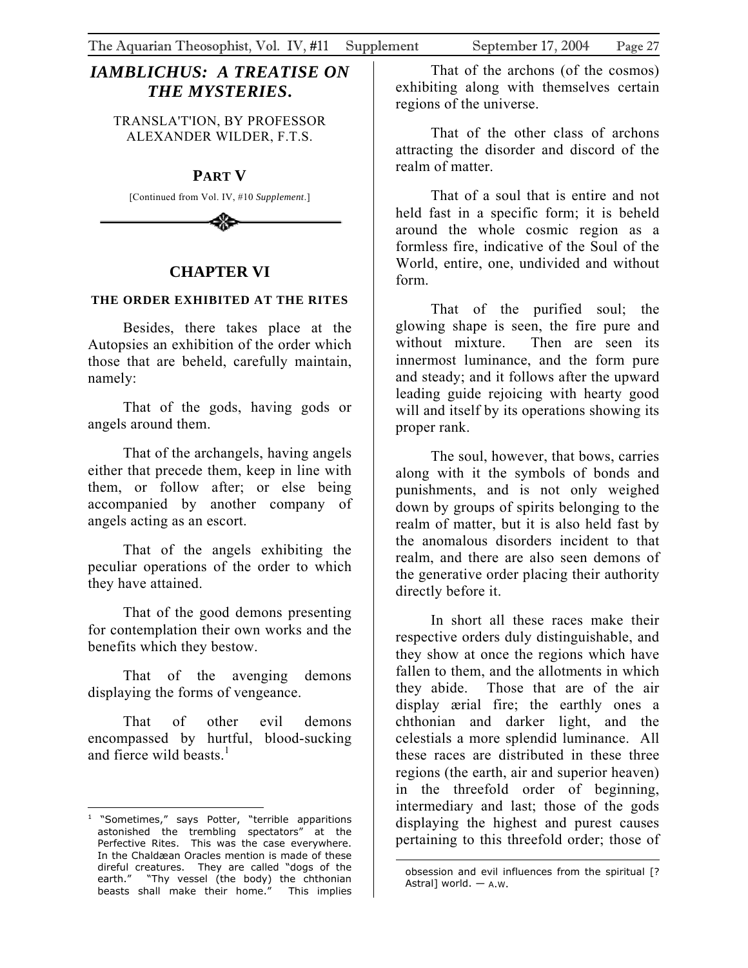## <span id="page-26-0"></span>*IAMBLICHUS: A TREATISE ON THE MYSTERIES***.**

TRANSLA'T'ION, BY PROFESSOR ALEXANDER WILDER, F.T.S.

#### **PART V**

[Continued from Vol. IV, #10 *Supplement*.]



#### **CHAPTER VI**

#### **THE ORDER EXHIBITED AT THE RITES**

Besides, there takes place at the Autopsies an exhibition of the order which those that are beheld, carefully maintain, namely:

That of the gods, having gods or angels around them.

That of the archangels, having angels either that precede them, keep in line with them, or follow after; or else being accompanied by another company of angels acting as an escort.

That of the angels exhibiting the peculiar operations of the order to which they have attained.

That of the good demons presenting for contemplation their own works and the benefits which they bestow.

That of the avenging demons displaying the forms of vengeance.

That of other evil demons encompassed by hurtful, blood-sucking and fierce wild beasts  $<sup>1</sup>$  $<sup>1</sup>$  $<sup>1</sup>$ </sup>

That of the archons (of the cosmos) exhibiting along with themselves certain regions of the universe.

That of the other class of archons attracting the disorder and discord of the realm of matter.

That of a soul that is entire and not held fast in a specific form; it is beheld around the whole cosmic region as a formless fire, indicative of the Soul of the World, entire, one, undivided and without form.

That of the purified soul; the glowing shape is seen, the fire pure and without mixture. Then are seen its innermost luminance, and the form pure and steady; and it follows after the upward leading guide rejoicing with hearty good will and itself by its operations showing its proper rank.

The soul, however, that bows, carries along with it the symbols of bonds and punishments, and is not only weighed down by groups of spirits belonging to the realm of matter, but it is also held fast by the anomalous disorders incident to that realm, and there are also seen demons of the generative order placing their authority directly before it.

In short all these races make their respective orders duly distinguishable, and they show at once the regions which have fallen to them, and the allotments in which they abide. Those that are of the air display ærial fire; the earthly ones a chthonian and darker light, and the celestials a more splendid luminance. All these races are distributed in these three regions (the earth, air and superior heaven) in the threefold order of beginning, intermediary and last; those of the gods displaying the highest and purest causes pertaining to this threefold order; those of

 $\overline{a}$ 

<span id="page-26-1"></span> 1 "Sometimes," says Potter, "terrible apparitions astonished the trembling spectators" at the Perfective Rites. This was the case everywhere. In the Chaldæan Oracles mention is made of these direful creatures. They are called "dogs of the earth." "Thy vessel (the body) the chthonian beasts shall make their home." This implies

obsession and evil influences from the spiritual [? Astral] world. — A.W.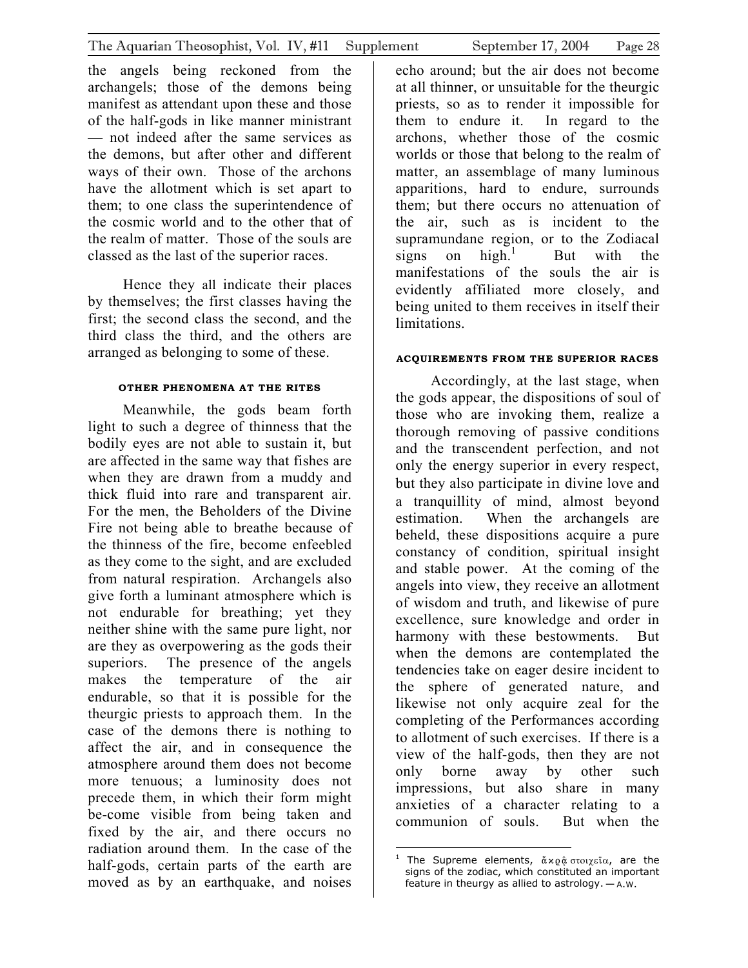the angels being reckoned from the archangels; those of the demons being manifest as attendant upon these and those of the half-gods in like manner ministrant — not indeed after the same services as the demons, but after other and different ways of their own. Those of the archons have the allotment which is set apart to them; to one class the superintendence of the cosmic world and to the other that of the realm of matter. Those of the souls are classed as the last of the superior races.

Hence they all indicate their places by themselves; the first classes having the first; the second class the second, and the third class the third, and the others are arranged as belonging to some of these.

#### **OTHER PHENOMENA AT THE RITES**

Meanwhile, the gods beam forth light to such a degree of thinness that the bodily eyes are not able to sustain it, but are affected in the same way that fishes are when they are drawn from a muddy and thick fluid into rare and transparent air. For the men, the Beholders of the Divine Fire not being able to breathe because of the thinness of the fire, become enfeebled as they come to the sight, and are excluded from natural respiration. Archangels also give forth a luminant atmosphere which is not endurable for breathing; yet they neither shine with the same pure light, nor are they as overpowering as the gods their superiors. The presence of the angels makes the temperature of the air endurable, so that it is possible for the theurgic priests to approach them. In the case of the demons there is nothing to affect the air, and in consequence the atmosphere around them does not become more tenuous; a luminosity does not precede them, in which their form might be-come visible from being taken and fixed by the air, and there occurs no radiation around them. In the case of the half-gods, certain parts of the earth are moved as by an earthquake, and noises

echo around; but the air does not become at all thinner, or unsuitable for the theurgic priests, so as to render it impossible for them to endure it. In regard to the archons, whether those of the cosmic worlds or those that belong to the realm of matter, an assemblage of many luminous apparitions, hard to endure, surrounds them; but there occurs no attenuation of the air, such as is incident to the supramundane region, or to the Zodiacal signs on  $high.$ <sup>1</sup> But with the manifestations of the souls the air is evidently affiliated more closely, and being united to them receives in itself their limitations.

#### **ACQUIREMENTS FROM THE SUPERIOR RACES**

Accordingly, at the last stage, when the gods appear, the dispositions of soul of those who are invoking them, realize a thorough removing of passive conditions and the transcendent perfection, and not only the energy superior in every respect, but they also participate in divine love and a tranquillity of mind, almost beyond estimation. When the archangels are beheld, these dispositions acquire a pure constancy of condition, spiritual insight and stable power. At the coming of the angels into view, they receive an allotment of wisdom and truth, and likewise of pure excellence, sure knowledge and order in harmony with these bestowments. But when the demons are contemplated the tendencies take on eager desire incident to the sphere of generated nature, and likewise not only acquire zeal for the completing of the Performances according to allotment of such exercises. If there is a view of the half-gods, then they are not only borne away by other such impressions, but also share in many anxieties of a character relating to a communion of souls. But when the

<span id="page-27-0"></span> $\overline{a}$ 1 The Supreme elements,  $\alpha x \varrho \hat{\alpha}$  στοιχεΐα, are the signs of the zodiac, which constituted an important feature in theurgy as allied to astrology. — A.W.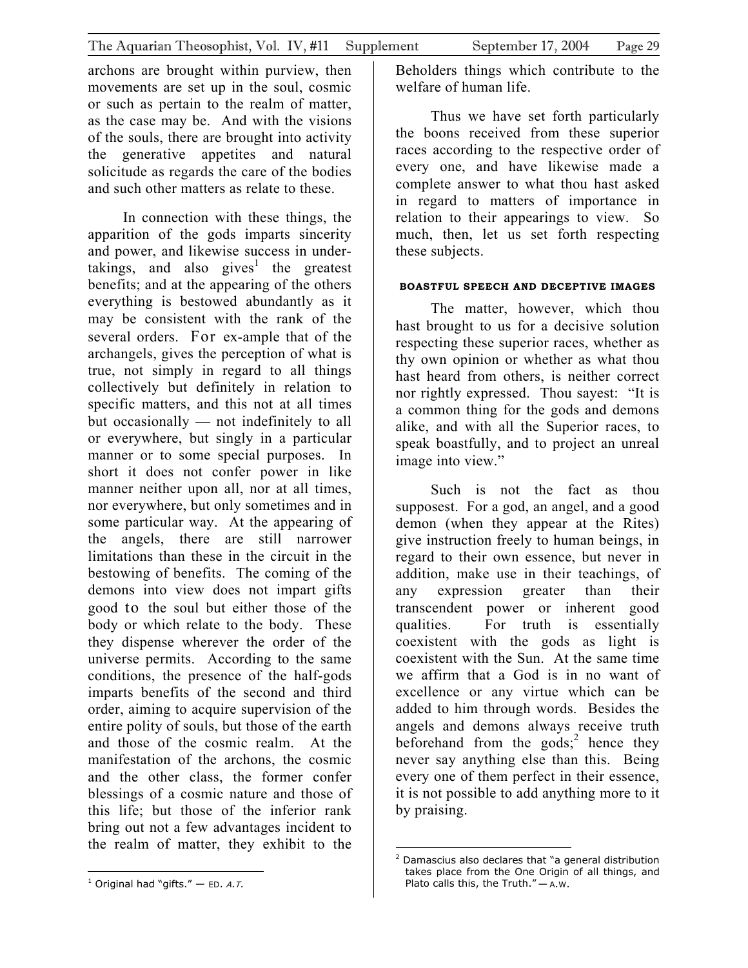archons are brought within purview, then movements are set up in the soul, cosmic or such as pertain to the realm of matter, as the case may be. And with the visions of the souls, there are brought into activity the generative appetites and natural solicitude as regards the care of the bodies and such other matters as relate to these.

In connection with these things, the apparition of the gods imparts sincerity and power, and likewise success in undertakings,and also gives<sup>1</sup> the greatest benefits; and at the appearing of the others everything is bestowed abundantly as it may be consistent with the rank of the several orders. For ex-ample that of the archangels, gives the perception of what is true, not simply in regard to all things collectively but definitely in relation to specific matters, and this not at all times but occasionally — not indefinitely to all or everywhere, but singly in a particular manner or to some special purposes. In short it does not confer power in like manner neither upon all, nor at all times, nor everywhere, but only sometimes and in some particular way. At the appearing of the angels, there are still narrower limitations than these in the circuit in the bestowing of benefits. The coming of the demons into view does not impart gifts good to the soul but either those of the body or which relate to the body. These they dispense wherever the order of the universe permits. According to the same conditions, the presence of the half-gods imparts benefits of the second and third order, aiming to acquire supervision of the entire polity of souls, but those of the earth and those of the cosmic realm. At the manifestation of the archons, the cosmic and the other class, the former confer blessings of a cosmic nature and those of this life; but those of the inferior rank bring out not a few advantages incident to the realm of matter, they exhibit to the

<span id="page-28-0"></span> $1$  Original had "gifts." — ED. A.T.

Beholders things which contribute to the welfare of human life.

Thus we have set forth particularly the boons received from these superior races according to the respective order of every one, and have likewise made a complete answer to what thou hast asked in regard to matters of importance in relation to their appearings to view. So much, then, let us set forth respecting these subjects.

#### **BOASTFUL SPEECH AND DECEPTIVE IMAGES**

The matter, however, which thou hast brought to us for a decisive solution respecting these superior races, whether as thy own opinion or whether as what thou hast heard from others, is neither correct nor rightly expressed. Thou sayest: "It is a common thing for the gods and demons alike, and with all the Superior races, to speak boastfully, and to project an unreal image into view."

Such is not the fact as thou supposest. For a god, an angel, and a good demon (when they appear at the Rites) give instruction freely to human beings, in regard to their own essence, but never in addition, make use in their teachings, of any expression greater than their transcendent power or inherent good qualities. For truth is essentially coexistent with the gods as light is coexistent with the Sun. At the same time we affirm that a God is in no want of excellence or any virtue which can be added to him through words. Besides the angels and demons always receive truth beforehandfrom the gods;<sup>2</sup> hence they never say anything else than this. Being every one of them perfect in their essence, it is not possible to add anything more to it by praising.

<span id="page-28-1"></span> 2 Damascius also declares that "a general distribution takes place from the One Origin of all things, and Plato calls this, the Truth." $-$  A.W.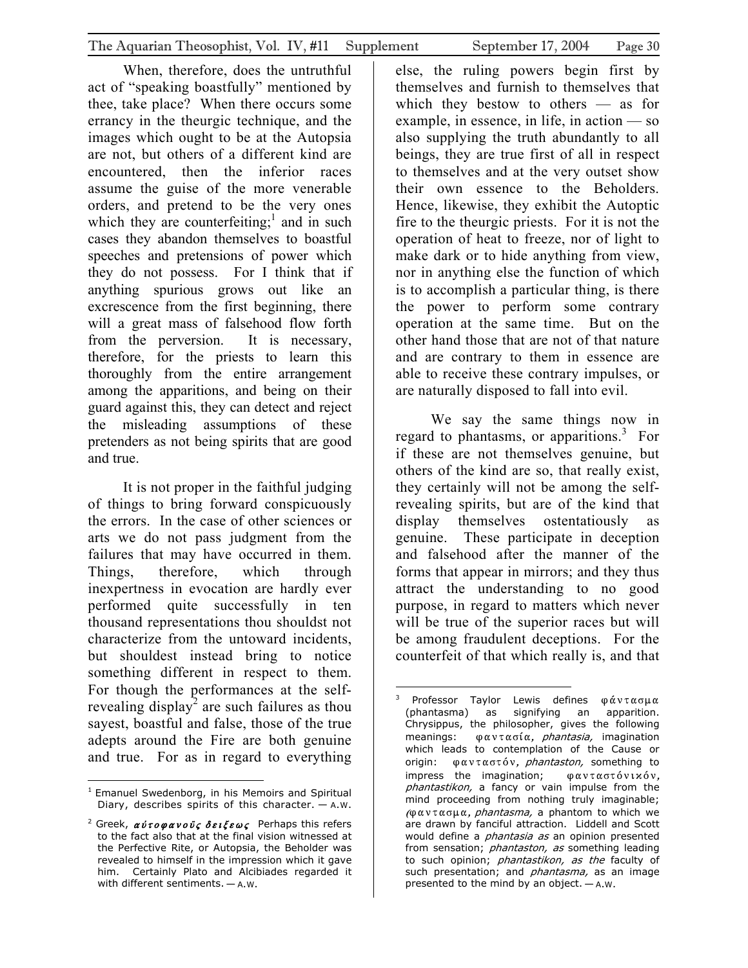When, therefore, does the untruthful act of "speaking boastfully" mentioned by thee, take place? When there occurs some errancy in the theurgic technique, and the images which ought to be at the Autopsia are not, but others of a different kind are encountered, then the inferior races assume the guise of the more venerable orders, and pretend to be the very ones which they are counterfeiting;<sup>[1](#page-29-0)</sup> and in such cases they abandon themselves to boastful speeches and pretensions of power which they do not possess. For I think that if anything spurious grows out like an excrescence from the first beginning, there will a great mass of falsehood flow forth from the perversion. It is necessary, therefore, for the priests to learn this thoroughly from the entire arrangement among the apparitions, and being on their guard against this, they can detect and reject the misleading assumptions of these pretenders as not being spirits that are good and true.

It is not proper in the faithful judging of things to bring forward conspicuously the errors. In the case of other sciences or arts we do not pass judgment from the failures that may have occurred in them. Things, therefore, which through inexpertness in evocation are hardly ever performed quite successfully in ten thousand representations thou shouldst not characterize from the untoward incidents, but shouldest instead bring to notice something different in respect to them. For though the performances at the self-revealing display<sup>[2](#page-29-1)</sup> are such failures as thou sayest, boastful and false, those of the true adepts around the Fire are both genuine and true. For as in regard to everything else, the ruling powers begin first by themselves and furnish to themselves that which they bestow to others — as for example, in essence, in life, in action — so also supplying the truth abundantly to all beings, they are true first of all in respect to themselves and at the very outset show their own essence to the Beholders. Hence, likewise, they exhibit the Autoptic fire to the theurgic priests. For it is not the operation of heat to freeze, nor of light to make dark or to hide anything from view, nor in anything else the function of which is to accomplish a particular thing, is there the power to perform some contrary operation at the same time. But on the other hand those that are not of that nature and are contrary to them in essence are able to receive these contrary impulses, or are naturally disposed to fall into evil.

We say the same things now in regard to phantasms, or apparitions.<sup>[3](#page-29-2)</sup> For if these are not themselves genuine, but others of the kind are so, that really exist, they certainly will not be among the selfrevealing spirits, but are of the kind that display themselves ostentatiously as genuine. These participate in deception and falsehood after the manner of the forms that appear in mirrors; and they thus attract the understanding to no good purpose, in regard to matters which never will be true of the superior races but will be among fraudulent deceptions. For the counterfeit of that which really is, and that

<span id="page-29-0"></span> 1 Emanuel Swedenborg, in his Memoirs and Spiritual Diary, describes spirits of this character.  $- A.W.$ 

<span id="page-29-1"></span><sup>&</sup>lt;sup>2</sup> Greek,  $\boldsymbol{\alpha} \boldsymbol{\dot{\nu}}$   $\boldsymbol{\tau}$  o  $\boldsymbol{\varphi}$  and  $\boldsymbol{\alpha}$  is  $\boldsymbol{\zeta}$  and  $\boldsymbol{\zeta}$  and  $\boldsymbol{\zeta}$  . Perhaps this refers to the fact also that at the final vision witnessed at the Perfective Rite, or Autopsia, the Beholder was revealed to himself in the impression which it gave him. Certainly Plato and Alcibiades regarded it with different sentiments. — A.W.

<span id="page-29-2"></span><sup>1</sup> 3 Professor Taylor Lewis defines φάντασμα (phantasma) as signifying an apparition. Chrysippus, the philosopher, gives the following meanings: φαντασία, *phantasia*, imagination which leads to contemplation of the Cause or origin: φανταστόν, *phantaston*, something to impress the imagination:  $ωανταστόνικόν$ . phantastikon, a fancy or vain impulse from the mind proceeding from nothing truly imaginable; **(**n"<J"σ:"**,** phantasma, a phantom to which we are drawn by fanciful attraction. Liddell and Scott would define a *phantasia as* an opinion presented from sensation; *phantaston, as* something leading to such opinion; *phantastikon, as the* faculty of such presentation; and *phantasma*, as an image presented to the mind by an object. — A.W.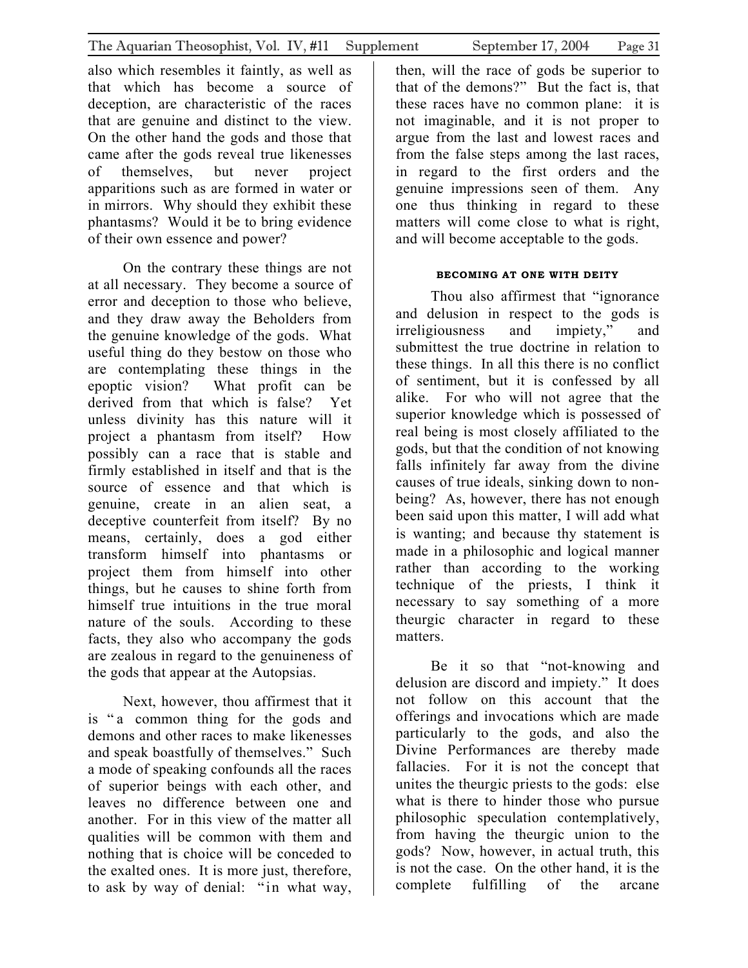also which resembles it faintly, as well as that which has become a source of deception, are characteristic of the races that are genuine and distinct to the view. On the other hand the gods and those that came after the gods reveal true likenesses of themselves, but never project apparitions such as are formed in water or in mirrors. Why should they exhibit these phantasms? Would it be to bring evidence of their own essence and power?

On the contrary these things are not at all necessary. They become a source of error and deception to those who believe, and they draw away the Beholders from the genuine knowledge of the gods. What useful thing do they bestow on those who are contemplating these things in the epoptic vision? What profit can be derived from that which is false? Yet unless divinity has this nature will it project a phantasm from itself? How possibly can a race that is stable and firmly established in itself and that is the source of essence and that which is genuine, create in an alien seat, a deceptive counterfeit from itself? By no means, certainly, does a god either transform himself into phantasms or project them from himself into other things, but he causes to shine forth from himself true intuitions in the true moral nature of the souls. According to these facts, they also who accompany the gods are zealous in regard to the genuineness of the gods that appear at the Autopsias.

Next, however, thou affirmest that it is " a common thing for the gods and demons and other races to make likenesses and speak boastfully of themselves." Such a mode of speaking confounds all the races of superior beings with each other, and leaves no difference between one and another. For in this view of the matter all qualities will be common with them and nothing that is choice will be conceded to the exalted ones. It is more just, therefore, to ask by way of denial: "in what way,

then, will the race of gods be superior to that of the demons?" But the fact is, that these races have no common plane: it is not imaginable, and it is not proper to argue from the last and lowest races and from the false steps among the last races, in regard to the first orders and the genuine impressions seen of them. Any one thus thinking in regard to these matters will come close to what is right, and will become acceptable to the gods.

#### **BECOMING AT ONE WITH DEITY**

Thou also affirmest that "ignorance and delusion in respect to the gods is irreligiousness and impiety," and submittest the true doctrine in relation to these things. In all this there is no conflict of sentiment, but it is confessed by all alike. For who will not agree that the superior knowledge which is possessed of real being is most closely affiliated to the gods, but that the condition of not knowing falls infinitely far away from the divine causes of true ideals, sinking down to nonbeing? As, however, there has not enough been said upon this matter, I will add what is wanting; and because thy statement is made in a philosophic and logical manner rather than according to the working technique of the priests, I think it necessary to say something of a more theurgic character in regard to these matters.

Be it so that "not-knowing and delusion are discord and impiety." It does not follow on this account that the offerings and invocations which are made particularly to the gods, and also the Divine Performances are thereby made fallacies. For it is not the concept that unites the theurgic priests to the gods: else what is there to hinder those who pursue philosophic speculation contemplatively, from having the theurgic union to the gods? Now, however, in actual truth, this is not the case. On the other hand, it is the complete fulfilling of the arcane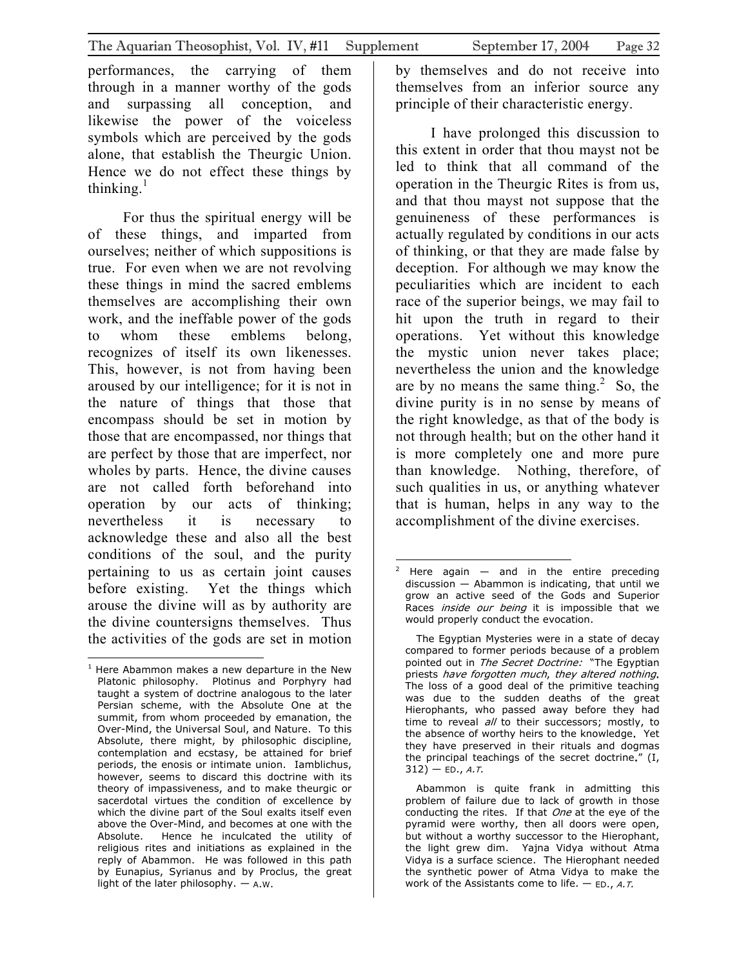performances, the carrying of them through in a manner worthy of the gods and surpassing all conception, and likewise the power of the voiceless symbols which are perceived by the gods alone, that establish the Theurgic Union. Hence we do not effect these things by thinking. $<sup>1</sup>$  $<sup>1</sup>$  $<sup>1</sup>$ </sup>

For thus the spiritual energy will be of these things, and imparted from ourselves; neither of which suppositions is true. For even when we are not revolving these things in mind the sacred emblems themselves are accomplishing their own work, and the ineffable power of the gods to whom these emblems belong, recognizes of itself its own likenesses. This, however, is not from having been aroused by our intelligence; for it is not in the nature of things that those that encompass should be set in motion by those that are encompassed, nor things that are perfect by those that are imperfect, nor wholes by parts. Hence, the divine causes are not called forth beforehand into operation by our acts of thinking; nevertheless it is necessary to acknowledge these and also all the best conditions of the soul, and the purity pertaining to us as certain joint causes before existing. Yet the things which arouse the divine will as by authority are the divine countersigns themselves. Thus the activities of the gods are set in motion by themselves and do not receive into themselves from an inferior source any principle of their characteristic energy.

I have prolonged this discussion to this extent in order that thou mayst not be led to think that all command of the operation in the Theurgic Rites is from us, and that thou mayst not suppose that the genuineness of these performances is actually regulated by conditions in our acts of thinking, or that they are made false by deception. For although we may know the peculiarities which are incident to each race of the superior beings, we may fail to hit upon the truth in regard to their operations. Yet without this knowledge the mystic union never takes place; nevertheless the union and the knowledge are by no means the same thing. $^{2}$  $^{2}$  $^{2}$  So, the divine purity is in no sense by means of the right knowledge, as that of the body is not through health; but on the other hand it is more completely one and more pure than knowledge. Nothing, therefore, of such qualities in us, or anything whatever that is human, helps in any way to the accomplishment of the divine exercises.

 Abammon is quite frank in admitting this problem of failure due to lack of growth in those conducting the rites. If that One at the eye of the pyramid were worthy, then all doors were open, but without a worthy successor to the Hierophant, the light grew dim. Yajna Vidya without Atma Vidya is a surface science. The Hierophant needed the synthetic power of Atma Vidya to make the work of the Assistants come to life.  $-$  ED., A.T.

<span id="page-31-0"></span> $\overline{a}$ <sup>1</sup> Here Abammon makes a new departure in the New Platonic philosophy. Plotinus and Porphyry had taught a system of doctrine analogous to the later Persian scheme, with the Absolute One at the summit, from whom proceeded by emanation, the Over-Mind, the Universal Soul, and Nature. To this Absolute, there might, by philosophic discipline, contemplation and ecstasy, be attained for brief periods, the enosis or intimate union. Iamblichus, however, seems to discard this doctrine with its theory of impassiveness, and to make theurgic or sacerdotal virtues the condition of excellence by which the divine part of the Soul exalts itself even above the Over-Mind, and becomes at one with the Absolute. Hence he inculcated the utility of religious rites and initiations as explained in the reply of Abammon. He was followed in this path by Eunapius, Syrianus and by Proclus, the great light of the later philosophy.  $- A.W.$ 

<span id="page-31-1"></span> 2 Here again — and in the entire preceding discussion — Abammon is indicating, that until we grow an active seed of the Gods and Superior Races *inside our being* it is impossible that we would properly conduct the evocation.

The Egyptian Mysteries were in a state of decay compared to former periods because of a problem pointed out in The Secret Doctrine: "The Egyptian priests have forgotten much, they altered nothing. The loss of a good deal of the primitive teaching was due to the sudden deaths of the great Hierophants, who passed away before they had time to reveal all to their successors; mostly, to the absence of worthy heirs to the knowledge. Yet they have preserved in their rituals and dogmas the principal teachings of the secret doctrine." (I,  $312$ ) — ED., A.T.